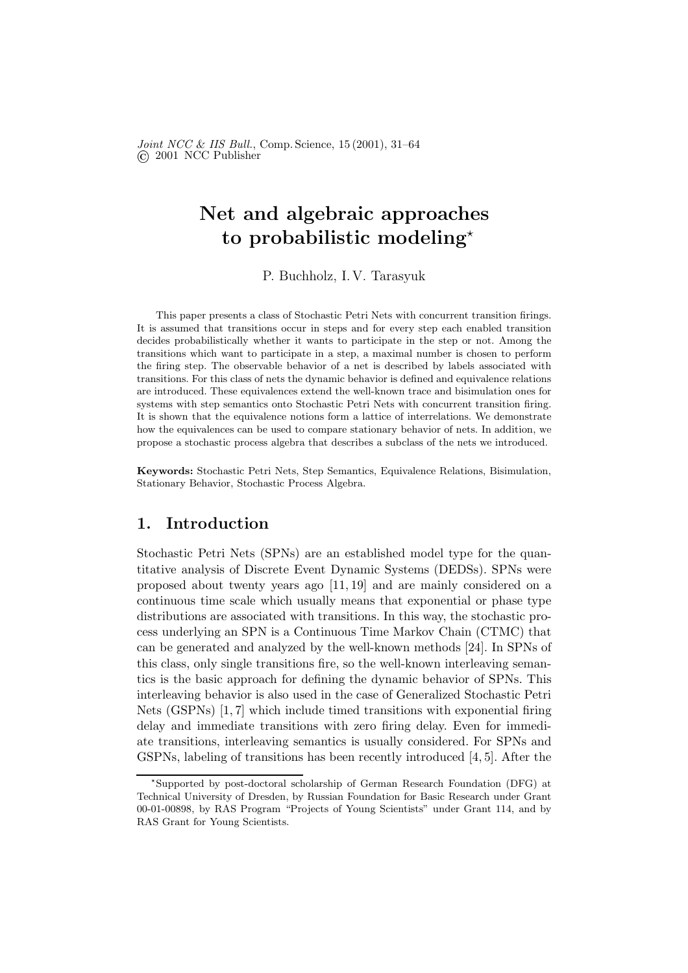Joint NCC & IIS Bull., Comp. Science, 15 (2001), 31–64 © 2001 NCC Publisher

# Net and algebraic approaches to probabilistic modeling<sup>\*</sup>

P. Buchholz, I. V. Tarasyuk

This paper presents a class of Stochastic Petri Nets with concurrent transition firings. It is assumed that transitions occur in steps and for every step each enabled transition decides probabilistically whether it wants to participate in the step or not. Among the transitions which want to participate in a step, a maximal number is chosen to perform the firing step. The observable behavior of a net is described by labels associated with transitions. For this class of nets the dynamic behavior is defined and equivalence relations are introduced. These equivalences extend the well-known trace and bisimulation ones for systems with step semantics onto Stochastic Petri Nets with concurrent transition firing. It is shown that the equivalence notions form a lattice of interrelations. We demonstrate how the equivalences can be used to compare stationary behavior of nets. In addition, we propose a stochastic process algebra that describes a subclass of the nets we introduced.

Keywords: Stochastic Petri Nets, Step Semantics, Equivalence Relations, Bisimulation, Stationary Behavior, Stochastic Process Algebra.

## 1. Introduction

Stochastic Petri Nets (SPNs) are an established model type for the quantitative analysis of Discrete Event Dynamic Systems (DEDSs). SPNs were proposed about twenty years ago [11, 19] and are mainly considered on a continuous time scale which usually means that exponential or phase type distributions are associated with transitions. In this way, the stochastic process underlying an SPN is a Continuous Time Markov Chain (CTMC) that can be generated and analyzed by the well-known methods [24]. In SPNs of this class, only single transitions fire, so the well-known interleaving semantics is the basic approach for defining the dynamic behavior of SPNs. This interleaving behavior is also used in the case of Generalized Stochastic Petri Nets (GSPNs) [1, 7] which include timed transitions with exponential firing delay and immediate transitions with zero firing delay. Even for immediate transitions, interleaving semantics is usually considered. For SPNs and GSPNs, labeling of transitions has been recently introduced [4, 5]. After the

<sup>⋆</sup> Supported by post-doctoral scholarship of German Research Foundation (DFG) at Technical University of Dresden, by Russian Foundation for Basic Research under Grant 00-01-00898, by RAS Program "Projects of Young Scientists" under Grant 114, and by RAS Grant for Young Scientists.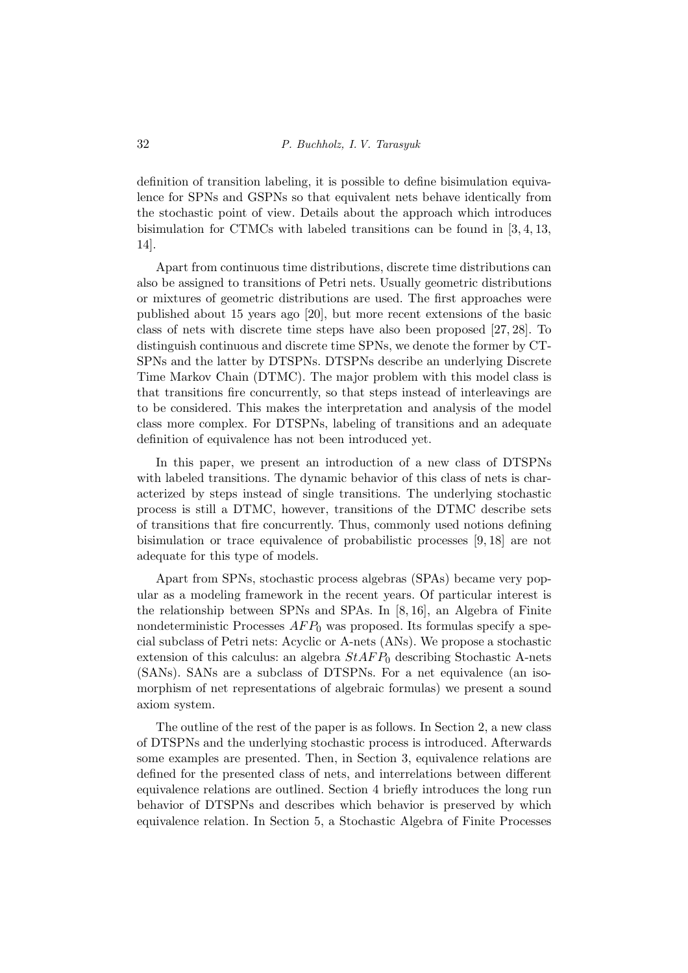definition of transition labeling, it is possible to define bisimulation equivalence for SPNs and GSPNs so that equivalent nets behave identically from the stochastic point of view. Details about the approach which introduces bisimulation for CTMCs with labeled transitions can be found in [3, 4, 13, 14].

Apart from continuous time distributions, discrete time distributions can also be assigned to transitions of Petri nets. Usually geometric distributions or mixtures of geometric distributions are used. The first approaches were published about 15 years ago [20], but more recent extensions of the basic class of nets with discrete time steps have also been proposed [27, 28]. To distinguish continuous and discrete time SPNs, we denote the former by CT-SPNs and the latter by DTSPNs. DTSPNs describe an underlying Discrete Time Markov Chain (DTMC). The major problem with this model class is that transitions fire concurrently, so that steps instead of interleavings are to be considered. This makes the interpretation and analysis of the model class more complex. For DTSPNs, labeling of transitions and an adequate definition of equivalence has not been introduced yet.

In this paper, we present an introduction of a new class of DTSPNs with labeled transitions. The dynamic behavior of this class of nets is characterized by steps instead of single transitions. The underlying stochastic process is still a DTMC, however, transitions of the DTMC describe sets of transitions that fire concurrently. Thus, commonly used notions defining bisimulation or trace equivalence of probabilistic processes [9, 18] are not adequate for this type of models.

Apart from SPNs, stochastic process algebras (SPAs) became very popular as a modeling framework in the recent years. Of particular interest is the relationship between SPNs and SPAs. In [8, 16], an Algebra of Finite nondeterministic Processes  $AFP_0$  was proposed. Its formulas specify a special subclass of Petri nets: Acyclic or A-nets (ANs). We propose a stochastic extension of this calculus: an algebra  $StAFP_0$  describing Stochastic A-nets (SANs). SANs are a subclass of DTSPNs. For a net equivalence (an isomorphism of net representations of algebraic formulas) we present a sound axiom system.

The outline of the rest of the paper is as follows. In Section 2, a new class of DTSPNs and the underlying stochastic process is introduced. Afterwards some examples are presented. Then, in Section 3, equivalence relations are defined for the presented class of nets, and interrelations between different equivalence relations are outlined. Section 4 briefly introduces the long run behavior of DTSPNs and describes which behavior is preserved by which equivalence relation. In Section 5, a Stochastic Algebra of Finite Processes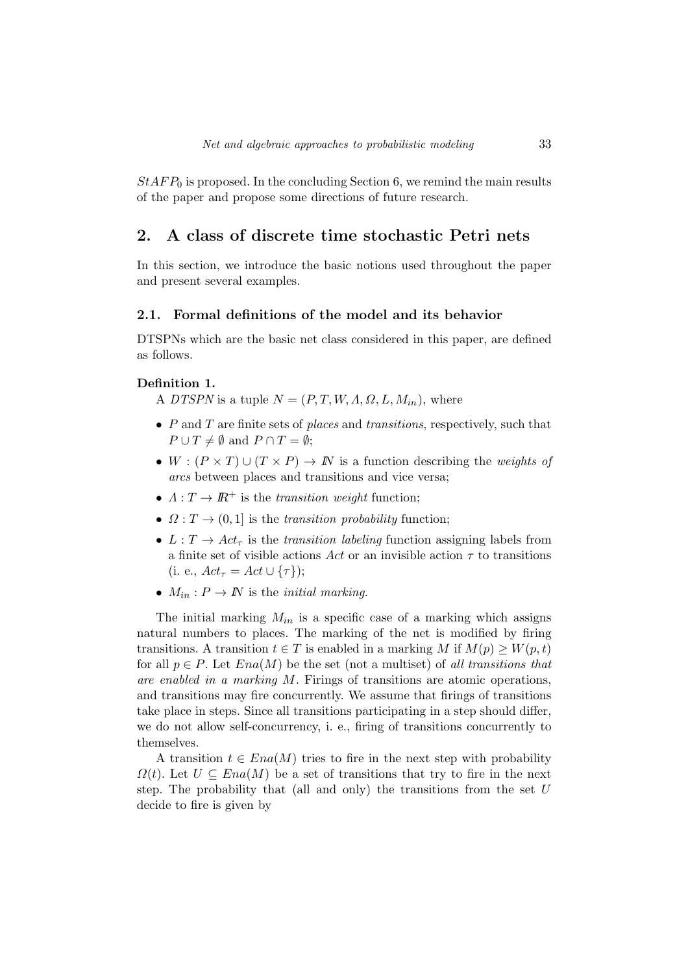$StAFP_0$  is proposed. In the concluding Section 6, we remind the main results of the paper and propose some directions of future research.

## 2. A class of discrete time stochastic Petri nets

In this section, we introduce the basic notions used throughout the paper and present several examples.

### 2.1. Formal definitions of the model and its behavior

DTSPNs which are the basic net class considered in this paper, are defined as follows.

#### Definition 1.

A DTSPN is a tuple  $N = (P, T, W, \Lambda, \Omega, L, M_{in}),$  where

- $P$  and  $T$  are finite sets of places and transitions, respectively, such that  $P \cup T \neq \emptyset$  and  $P \cap T = \emptyset$ ;
- $W : (P \times T) \cup (T \times P) \rightarrow \mathbb{N}$  is a function describing the *weights of* arcs between places and transitions and vice versa;
- $\Lambda: T \to I\!\!R^+$  is the transition weight function;
- $\Omega: T \to (0, 1]$  is the transition probability function;
- $L: T \to Act_\tau$  is the transition labeling function assigning labels from a finite set of visible actions Act or an invisible action  $\tau$  to transitions (i. e.,  $Act_{\tau} = Act \cup {\tau}$ );
- $M_{in}: P \to \mathbb{N}$  is the *initial marking*.

The initial marking  $M_{in}$  is a specific case of a marking which assigns natural numbers to places. The marking of the net is modified by firing transitions. A transition  $t \in T$  is enabled in a marking M if  $M(p) \geq W(p,t)$ for all  $p \in P$ . Let  $Ena(M)$  be the set (not a multiset) of all transitions that are enabled in a marking  $M$ . Firings of transitions are atomic operations, and transitions may fire concurrently. We assume that firings of transitions take place in steps. Since all transitions participating in a step should differ, we do not allow self-concurrency, i. e., firing of transitions concurrently to themselves.

A transition  $t \in Ena(M)$  tries to fire in the next step with probability  $\Omega(t)$ . Let  $U \subseteq Ena(M)$  be a set of transitions that try to fire in the next step. The probability that (all and only) the transitions from the set  $U$ decide to fire is given by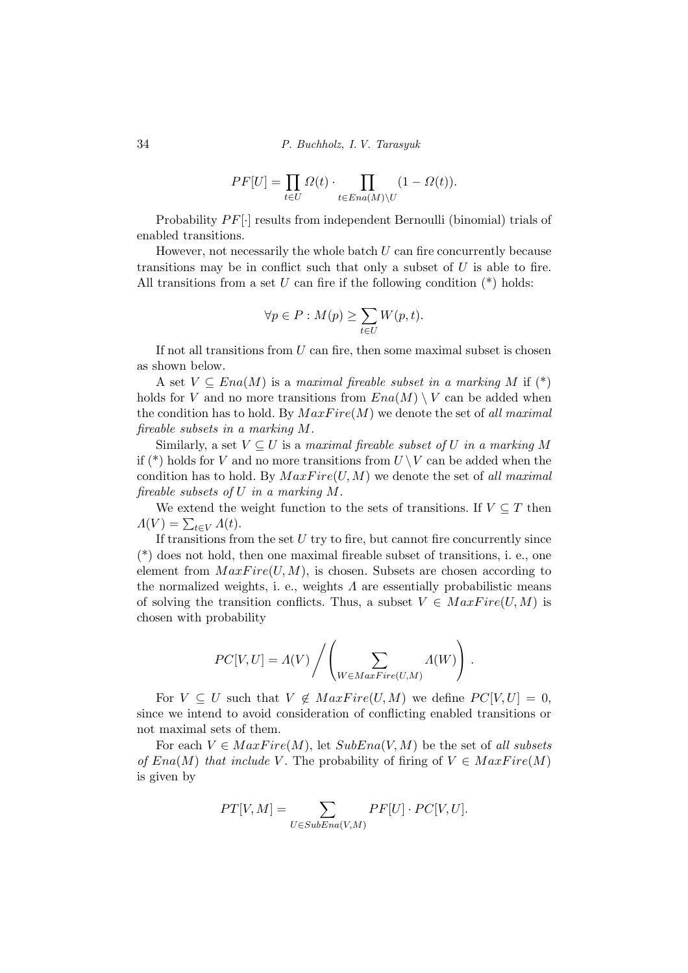34 P. Buchholz, I. V. Tarasyuk

$$
PF[U] = \prod_{t \in U} \Omega(t) \cdot \prod_{t \in Ena(M)\backslash U} (1 - \Omega(t)).
$$

Probability  $PF[\cdot]$  results from independent Bernoulli (binomial) trials of enabled transitions.

However, not necessarily the whole batch  $U$  can fire concurrently because transitions may be in conflict such that only a subset of  $U$  is able to fire. All transitions from a set U can fire if the following condition  $(*)$  holds:

$$
\forall p \in P : M(p) \ge \sum_{t \in U} W(p, t).
$$

If not all transitions from  $U$  can fire, then some maximal subset is chosen as shown below.

A set  $V \subseteq Ena(M)$  is a maximal fireable subset in a marking M if  $(*)$ holds for V and no more transitions from  $Ena(M) \setminus V$  can be added when the condition has to hold. By  $MaxFire(M)$  we denote the set of all maximal fireable subsets in a marking M.

Similarly, a set  $V \subseteq U$  is a maximal fireable subset of U in a marking M if  $(*)$  holds for V and no more transitions from  $U \setminus V$  can be added when the condition has to hold. By  $MaxFire(U, M)$  we denote the set of all maximal fireable subsets of U in a marking M.

We extend the weight function to the sets of transitions. If  $V \subseteq T$  then  $\Lambda(V) = \sum_{t \in V} \Lambda(t).$ 

If transitions from the set  $U$  try to fire, but cannot fire concurrently since (\*) does not hold, then one maximal fireable subset of transitions, i. e., one element from  $MaxFire(U, M)$ , is chosen. Subsets are chosen according to the normalized weights, i. e., weights  $\Lambda$  are essentially probabilistic means of solving the transition conflicts. Thus, a subset  $V \in MaxFire(U, M)$  is chosen with probability

$$
PC[V, U] = \Lambda(V) / \left( \sum_{W \in MaxFire(U, M)} \Lambda(W) \right).
$$

For  $V \subseteq U$  such that  $V \notin MaxFire(U, M)$  we define  $PC[V, U] = 0$ , since we intend to avoid consideration of conflicting enabled transitions or not maximal sets of them.

For each  $V \in MaxFire(M)$ , let  $SubEna(V, M)$  be the set of all subsets of  $Ena(M)$  that include V. The probability of firing of  $V \in MaxFire(M)$ is given by

$$
PT[V, M] = \sum_{U \in SubEna(V, M)} PF[U] \cdot PC[V, U].
$$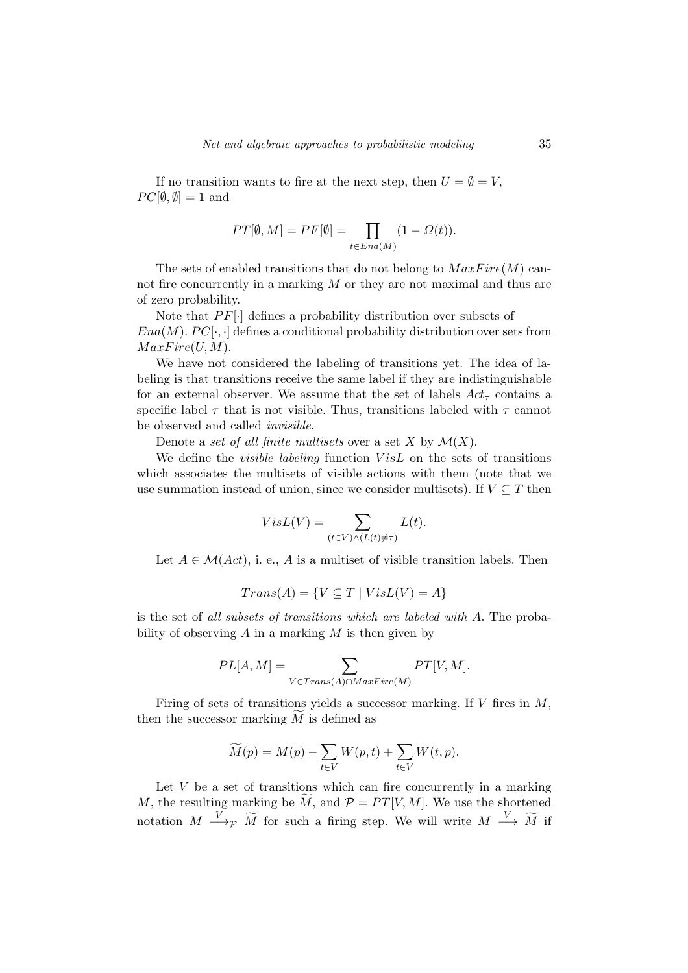If no transition wants to fire at the next step, then  $U = \emptyset = V$ ,  $PC[\emptyset, \emptyset] = 1$  and

$$
PT[\emptyset, M] = PF[\emptyset] = \prod_{t \in Ena(M)} (1 - \Omega(t)).
$$

The sets of enabled transitions that do not belong to  $MaxFire(M)$  cannot fire concurrently in a marking  $M$  or they are not maximal and thus are of zero probability.

Note that  $PF[\cdot]$  defines a probability distribution over subsets of  $Ena(M)$ .  $PC[\cdot,\cdot]$  defines a conditional probability distribution over sets from  $MaxFire(U, M)$ .

We have not considered the labeling of transitions yet. The idea of labeling is that transitions receive the same label if they are indistinguishable for an external observer. We assume that the set of labels  $Act_{\tau}$  contains a specific label  $\tau$  that is not visible. Thus, transitions labeled with  $\tau$  cannot be observed and called invisible.

Denote a set of all finite multisets over a set X by  $\mathcal{M}(X)$ .

We define the *visible labeling* function  $VisL$  on the sets of transitions which associates the multisets of visible actions with them (note that we use summation instead of union, since we consider multisets). If  $V \subseteq T$  then

$$
VisL(V) = \sum_{(t \in V) \land (L(t) \neq \tau)} L(t).
$$

Let  $A \in \mathcal{M}(Act)$ , i. e., A is a multiset of visible transition labels. Then

$$
Trans(A) = \{ V \subseteq T \mid VisL(V) = A \}
$$

is the set of all subsets of transitions which are labeled with A. The probability of observing  $A$  in a marking  $M$  is then given by

$$
PL[A, M] = \sum_{V \in Trans(A) \cap MaxFire(M)} PT[V, M].
$$

Firing of sets of transitions yields a successor marking. If  $V$  fires in  $M$ , then the successor marking  $M$  is defined as

$$
\widetilde{M}(p) = M(p) - \sum_{t \in V} W(p, t) + \sum_{t \in V} W(t, p).
$$

Let  $V$  be a set of transitions which can fire concurrently in a marking M, the resulting marking be  $\widetilde{M}$ , and  $\mathcal{P} = PT[V, M]$ . We use the shortened notation  $M \xrightarrow{V} \widetilde{M}$  for such a firing step. We will write  $M \xrightarrow{V} \widetilde{M}$  if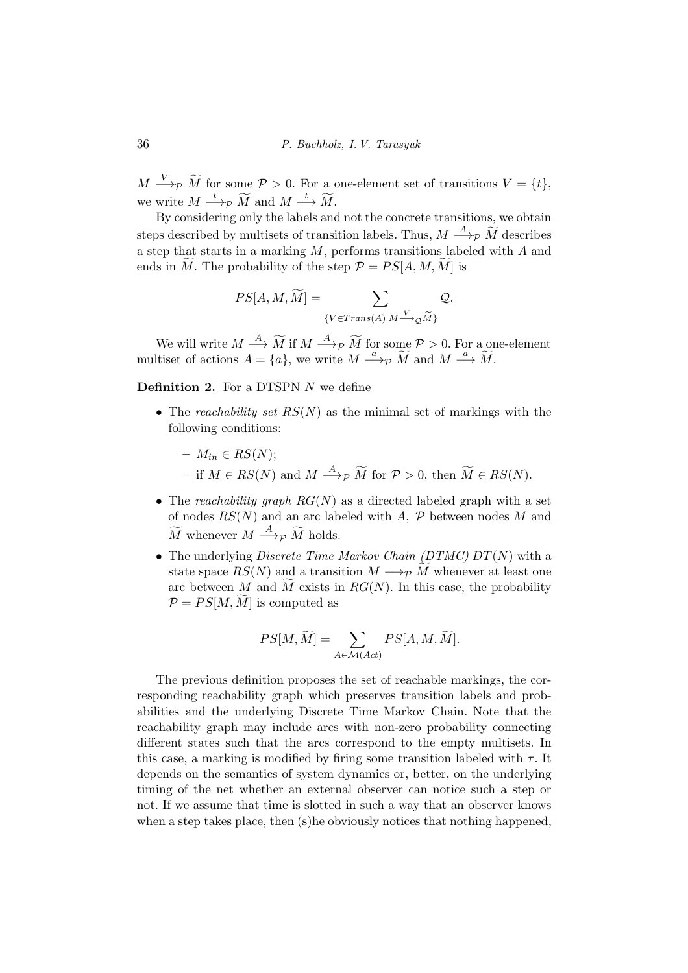$M \longrightarrow_{\mathcal{P}} \widetilde{M}$  for some  $\mathcal{P} > 0$ . For a one-element set of transitions  $V = \{t\},$ we write  $M \stackrel{t}{\longrightarrow} \widetilde{M}$  and  $M \stackrel{t}{\longrightarrow} \widetilde{M}$ .

By considering only the labels and not the concrete transitions, we obtain steps described by multisets of transition labels. Thus,  $M \stackrel{A}{\longrightarrow}{}_{\mathcal{P}} \widetilde{M}$  describes a step that starts in a marking  $M$ , performs transitions labeled with  $A$  and ends in  $\widetilde{M}$ . The probability of the step  $\mathcal{P} = PS[A, M, M]$  is

$$
PS[A, M, \widetilde{M}] = \sum_{\{V \in Trans(A) | M \xrightarrow{V} \mathcal{Q} \widetilde{M}\}} Q.
$$

We will write  $M \stackrel{A}{\longrightarrow} \widetilde{M}$  if  $M \stackrel{A}{\longrightarrow} p \widetilde{M}$  for some  $P > 0$ . For a one-element multiset of actions  $A = \{a\}$ , we write  $M \stackrel{a}{\longrightarrow} \widetilde{M}$  and  $M \stackrel{a}{\longrightarrow} \widetilde{M}$ .

**Definition 2.** For a DTSPN  $N$  we define

- The reachability set  $RS(N)$  as the minimal set of markings with the following conditions:
	- $M_{in} \in RS(N);$
	- − if  $M \in RS(N)$  and  $M \stackrel{A}{\longrightarrow} p \widetilde{M}$  for  $P > 0$ , then  $\widetilde{M} \in RS(N)$ .
- The reachability graph  $RG(N)$  as a directed labeled graph with a set of nodes  $RS(N)$  and an arc labeled with A, P between nodes M and  $\widetilde{M}$  whenever  $M \stackrel{A}{\longrightarrow} \widetilde{p} \widetilde{M}$  holds.
- The underlying *Discrete Time Markov Chain (DTMC)*  $DT(N)$  with a state space  $RS(N)$  and a transition  $M \longrightarrow_{\mathcal{P}} M$  whenever at least one arc between M and M exists in  $RG(N)$ . In this case, the probability  $\mathcal{P} = PS[M, M]$  is computed as

$$
PS[M, \widetilde{M}] = \sum_{A \in \mathcal{M}(Act)} PS[A, M, \widetilde{M}].
$$

The previous definition proposes the set of reachable markings, the corresponding reachability graph which preserves transition labels and probabilities and the underlying Discrete Time Markov Chain. Note that the reachability graph may include arcs with non-zero probability connecting different states such that the arcs correspond to the empty multisets. In this case, a marking is modified by firing some transition labeled with  $\tau$ . It depends on the semantics of system dynamics or, better, on the underlying timing of the net whether an external observer can notice such a step or not. If we assume that time is slotted in such a way that an observer knows when a step takes place, then (s)he obviously notices that nothing happened,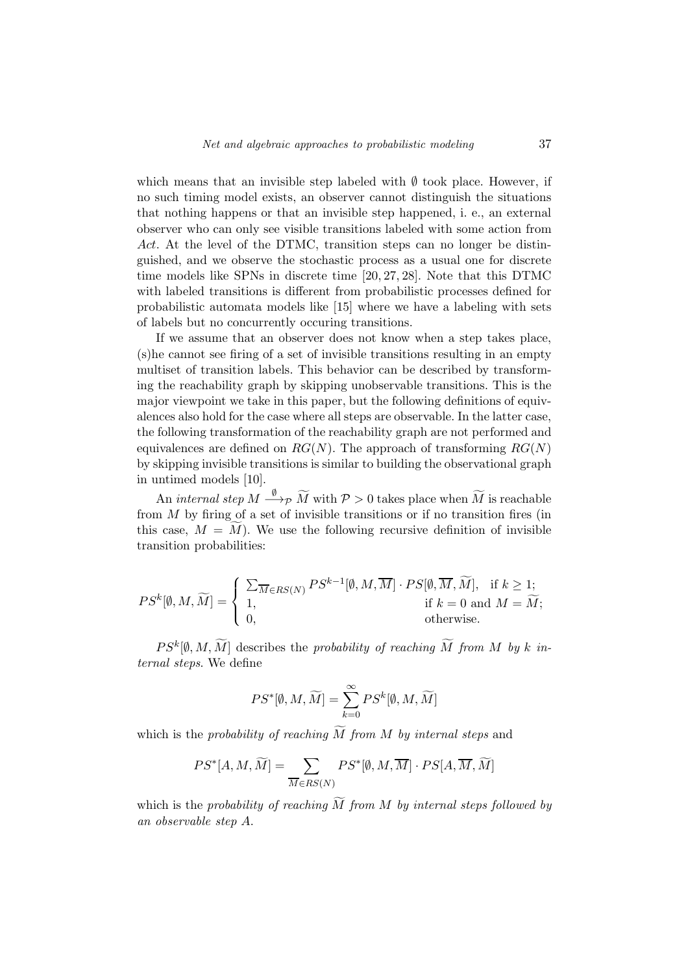which means that an invisible step labeled with  $\emptyset$  took place. However, if no such timing model exists, an observer cannot distinguish the situations that nothing happens or that an invisible step happened, i. e., an external observer who can only see visible transitions labeled with some action from Act. At the level of the DTMC, transition steps can no longer be distinguished, and we observe the stochastic process as a usual one for discrete time models like SPNs in discrete time [20, 27, 28]. Note that this DTMC with labeled transitions is different from probabilistic processes defined for probabilistic automata models like [15] where we have a labeling with sets of labels but no concurrently occuring transitions.

If we assume that an observer does not know when a step takes place, (s)he cannot see firing of a set of invisible transitions resulting in an empty multiset of transition labels. This behavior can be described by transforming the reachability graph by skipping unobservable transitions. This is the major viewpoint we take in this paper, but the following definitions of equivalences also hold for the case where all steps are observable. In the latter case, the following transformation of the reachability graph are not performed and equivalences are defined on  $RG(N)$ . The approach of transforming  $RG(N)$ by skipping invisible transitions is similar to building the observational graph in untimed models [10].

An internal step  $M \stackrel{\emptyset}{\longrightarrow} \widetilde{M}$  with  $\mathcal{P} > 0$  takes place when  $\widetilde{M}$  is reachable from  $M$  by firing of a set of invisible transitions or if no transition fires (in this case,  $M = \overline{M}$ ). We use the following recursive definition of invisible transition probabilities:

$$
PS^k[\emptyset, M, \widetilde{M}] = \begin{cases} \sum_{\overline{M} \in RS(N)} PS^{k-1}[\emptyset, M, \overline{M}] \cdot PS[\emptyset, \overline{M}, \widetilde{M}], & \text{if } k \ge 1; \\ 1, & \text{if } k = 0 \text{ and } M = \widetilde{M}; \\ 0, & \text{otherwise.} \end{cases}
$$

 $PS^k[\emptyset, M, \widetilde{M}]$  describes the probability of reaching  $\widetilde{M}$  from M by k internal steps. We define

$$
PS^*[\emptyset,M,\widetilde{M}]=\sum_{k=0}^\infty PS^k[\emptyset,M,\widetilde{M}]
$$

which is the probability of reaching  $\widetilde{M}$  from M by internal steps and

$$
PS^*[A,M,\widetilde{M}] = \sum_{\overline{M} \in RS(N)} PS^*[\emptyset,M,\overline{M}] \cdot PS[A,\overline{M},\widetilde{M}]
$$

which is the probability of reaching  $\widetilde{M}$  from M by internal steps followed by an observable step A.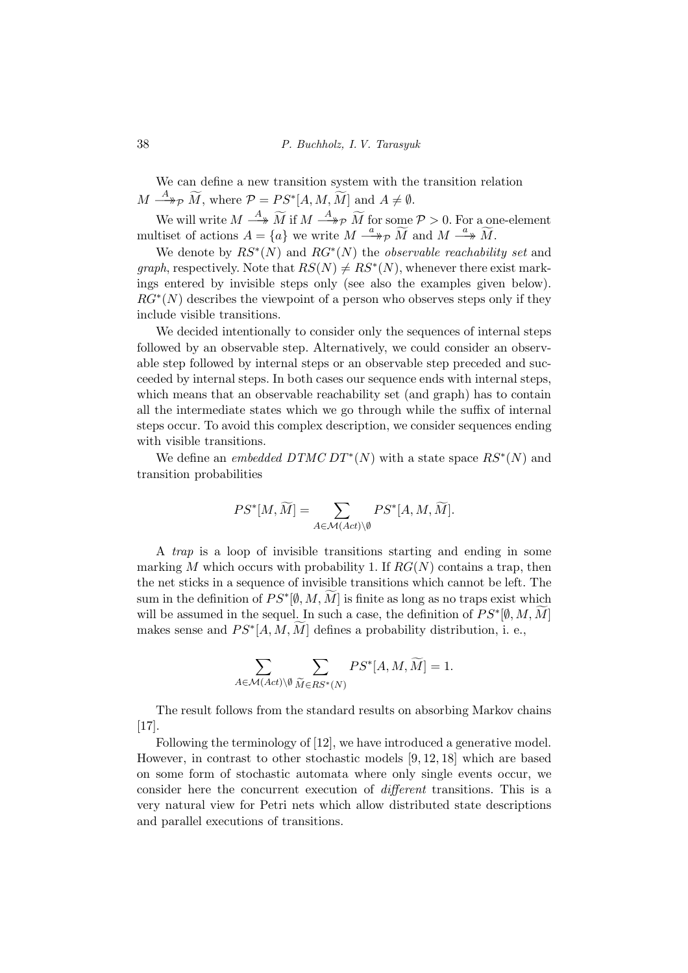We can define a new transition system with the transition relation  $M \stackrel{A}{\longrightarrow} {}_{\mathcal{P}} \widetilde{M}$ , where  $\mathcal{P} = PS^*[A, M, \widetilde{M}]$  and  $A \neq \emptyset$ .

We will write  $M \stackrel{A}{\longrightarrow} \widetilde{M}$  if  $M \stackrel{A}{\longrightarrow} p \widetilde{M}$  for some  $P > 0$ . For a one-element multiset of actions  $A = \{a\}$  we write  $M \stackrel{a}{\longrightarrow} \widetilde{M}$  and  $M \stackrel{a}{\longrightarrow} \widetilde{M}$ .

We denote by  $RS^*(N)$  and  $RG^*(N)$  the *observable reachability set* and graph, respectively. Note that  $RS(N) \neq RS^*(N)$ , whenever there exist markings entered by invisible steps only (see also the examples given below).  $RG^*(N)$  describes the viewpoint of a person who observes steps only if they include visible transitions.

We decided intentionally to consider only the sequences of internal steps followed by an observable step. Alternatively, we could consider an observable step followed by internal steps or an observable step preceded and succeeded by internal steps. In both cases our sequence ends with internal steps, which means that an observable reachability set (and graph) has to contain all the intermediate states which we go through while the suffix of internal steps occur. To avoid this complex description, we consider sequences ending with visible transitions.

We define an *embedded DTMC DT*<sup>\*</sup>(N) with a state space  $RS^*(N)$  and transition probabilities

$$
PS^*[M, \widetilde{M}] = \sum_{A \in \mathcal{M}(Act) \backslash \emptyset} PS^*[A, M, \widetilde{M}].
$$

A trap is a loop of invisible transitions starting and ending in some marking M which occurs with probability 1. If  $RG(N)$  contains a trap, then the net sticks in a sequence of invisible transitions which cannot be left. The sum in the definition of  $PS^*[\emptyset, M, \widetilde{M}]$  is finite as long as no traps exist which will be assumed in the sequel. In such a case, the definition of  $PS^*[0, M, \widetilde{M}]$ makes sense and  $PS^*[A, M, \widetilde{M}]$  defines a probability distribution, i. e.,

$$
\sum_{A \in \mathcal{M}(Act)\backslash \emptyset} \sum_{\widetilde{M} \in RS^*(N)} PS^*[A, M, \widetilde{M}] = 1.
$$

The result follows from the standard results on absorbing Markov chains [17].

Following the terminology of [12], we have introduced a generative model. However, in contrast to other stochastic models [9, 12, 18] which are based on some form of stochastic automata where only single events occur, we consider here the concurrent execution of different transitions. This is a very natural view for Petri nets which allow distributed state descriptions and parallel executions of transitions.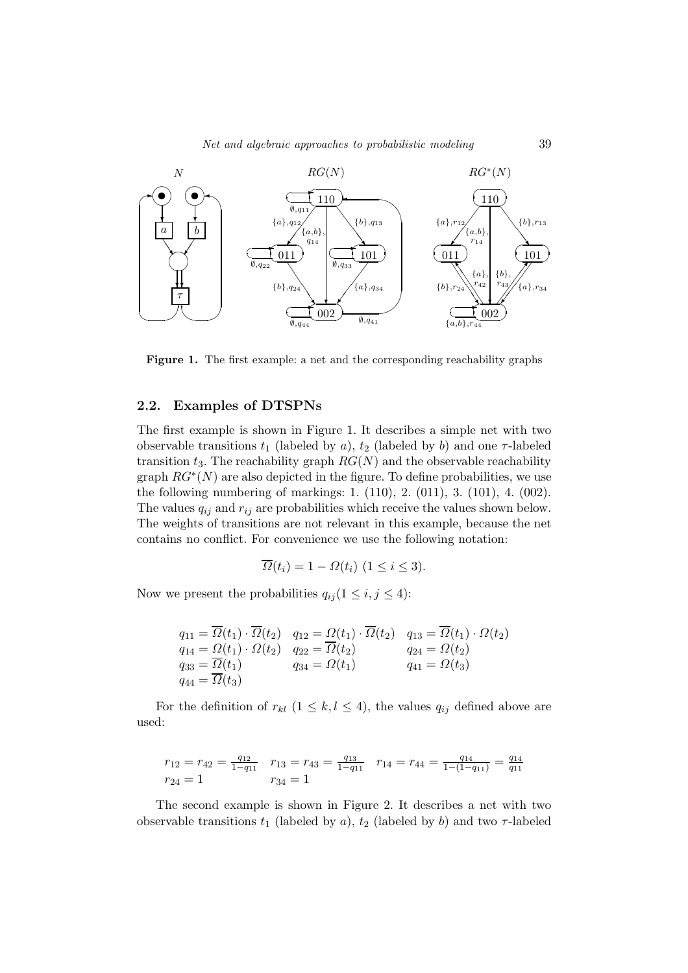

Figure 1. The first example: a net and the corresponding reachability graphs

#### 2.2. Examples of DTSPNs

The first example is shown in Figure 1. It describes a simple net with two observable transitions  $t_1$  (labeled by a),  $t_2$  (labeled by b) and one  $\tau$ -labeled transition  $t_3$ . The reachability graph  $RG(N)$  and the observable reachability graph  $RG^*(N)$  are also depicted in the figure. To define probabilities, we use the following numbering of markings: 1. (110), 2. (011), 3. (101), 4. (002). The values  $q_{ij}$  and  $r_{ij}$  are probabilities which receive the values shown below. The weights of transitions are not relevant in this example, because the net contains no conflict. For convenience we use the following notation:

$$
\overline{\Omega}(t_i) = 1 - \Omega(t_i) \ (1 \le i \le 3).
$$

Now we present the probabilities  $q_{ij} (1 \leq i, j \leq 4)$ :

$$
q_{11} = \overline{\Omega}(t_1) \cdot \overline{\Omega}(t_2) \quad q_{12} = \Omega(t_1) \cdot \overline{\Omega}(t_2) \quad q_{13} = \overline{\Omega}(t_1) \cdot \Omega(t_2)
$$
  
\n
$$
q_{14} = \Omega(t_1) \cdot \Omega(t_2) \quad q_{22} = \overline{\Omega}(t_2) \quad q_{24} = \Omega(t_2)
$$
  
\n
$$
q_{33} = \overline{\Omega}(t_1) \quad q_{34} = \Omega(t_1) \quad q_{41} = \Omega(t_3)
$$
  
\n
$$
q_{44} = \overline{\Omega}(t_3)
$$

For the definition of  $r_{kl}$   $(1 \leq k, l \leq 4)$ , the values  $q_{ij}$  defined above are used:

$$
r_{12} = r_{42} = \frac{q_{12}}{1 - q_{11}} \quad r_{13} = r_{43} = \frac{q_{13}}{1 - q_{11}} \quad r_{14} = r_{44} = \frac{q_{14}}{1 - (1 - q_{11})} = \frac{q_{14}}{q_{11}}
$$

$$
r_{24} = 1 \qquad r_{34} = 1
$$

The second example is shown in Figure 2. It describes a net with two observable transitions  $t_1$  (labeled by a),  $t_2$  (labeled by b) and two  $\tau$ -labeled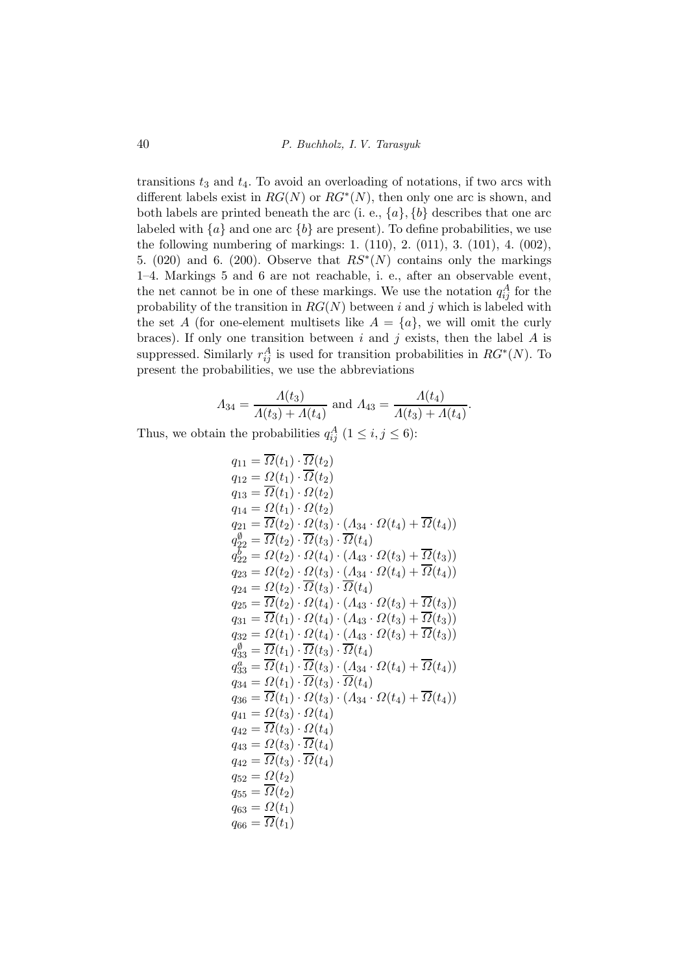transitions  $t_3$  and  $t_4$ . To avoid an overloading of notations, if two arcs with different labels exist in  $RG(N)$  or  $RG^*(N)$ , then only one arc is shown, and both labels are printed beneath the arc (i. e.,  $\{a\}$ ,  $\{b\}$  describes that one arc labeled with  $\{a\}$  and one arc  $\{b\}$  are present). To define probabilities, we use the following numbering of markings: 1. (110), 2. (011), 3. (101), 4. (002), 5. (020) and 6. (200). Observe that  $RS^*(N)$  contains only the markings 1–4. Markings 5 and 6 are not reachable, i. e., after an observable event, the net cannot be in one of these markings. We use the notation  $q_{ij}^A$  for the probability of the transition in  $RG(N)$  between i and j which is labeled with the set A (for one-element multisets like  $A = \{a\}$ , we will omit the curly braces). If only one transition between  $i$  and  $j$  exists, then the label  $A$  is suppressed. Similarly  $r_{ij}^A$  is used for transition probabilities in  $RG^*(N)$ . To present the probabilities, we use the abbreviations

$$
A_{34} = \frac{A(t_3)}{A(t_3) + A(t_4)} \text{ and } A_{43} = \frac{A(t_4)}{A(t_3) + A(t_4)}.
$$

Thus, we obtain the probabilities  $q_{ij}^A$   $(1 \le i, j \le 6)$ :

$$
q_{11} = \overline{\Omega}(t_1) \cdot \overline{\Omega}(t_2)
$$
  
\n
$$
q_{12} = \Omega(t_1) \cdot \overline{\Omega}(t_2)
$$
  
\n
$$
q_{13} = \overline{\Omega}(t_1) \cdot \Omega(t_2)
$$
  
\n
$$
q_{14} = \Omega(t_1) \cdot \Omega(t_2)
$$
  
\n
$$
q_{21} = \overline{\Omega}(t_2) \cdot \Omega(t_3) \cdot (\Lambda_{34} \cdot \Omega(t_4) + \overline{\Omega}(t_4))
$$
  
\n
$$
q_{22}^0 = \overline{\Omega}(t_2) \cdot \overline{\Omega}(t_3) \cdot \overline{\Omega}(t_4)
$$
  
\n
$$
q_{22}^b = \Omega(t_2) \cdot \Omega(t_4) \cdot (\Lambda_{43} \cdot \Omega(t_3) + \overline{\Omega}(t_3))
$$
  
\n
$$
q_{23} = \Omega(t_2) \cdot \Omega(t_3) \cdot (\Lambda_{34} \cdot \Omega(t_4) + \overline{\Omega}(t_4))
$$
  
\n
$$
q_{24} = \Omega(t_2) \cdot \overline{\Omega}(t_3) \cdot \overline{\Omega}(t_4)
$$
  
\n
$$
q_{25} = \overline{\Omega}(t_2) \cdot \Omega(t_4) \cdot (\Lambda_{43} \cdot \Omega(t_3) + \overline{\Omega}(t_3))
$$
  
\n
$$
q_{31} = \overline{\Omega}(t_1) \cdot \Omega(t_4) \cdot (\Lambda_{43} \cdot \Omega(t_3) + \overline{\Omega}(t_3))
$$
  
\n
$$
q_{32} = \Omega(t_1) \cdot \overline{\Omega}(t_4) \cdot (\Lambda_{43} \cdot \Omega(t_3) + \overline{\Omega}(t_3))
$$
  
\n
$$
q_{33}^0 = \overline{\Omega}(t_1) \cdot \overline{\Omega}(t_3) \cdot \overline{\Omega}(t_4)
$$
  
\n
$$
q_{34}^s = \Omega(t_1) \cdot \overline{\Omega}(t_3) \cdot \overline{\Omega}(t_4)
$$
  
\n
$$
q_{35} = \overline{\Omega}(t_1) \cdot \overline{\Omega}(t_3) \cdot \overline{\Omega}(t_4)
$$
  
\n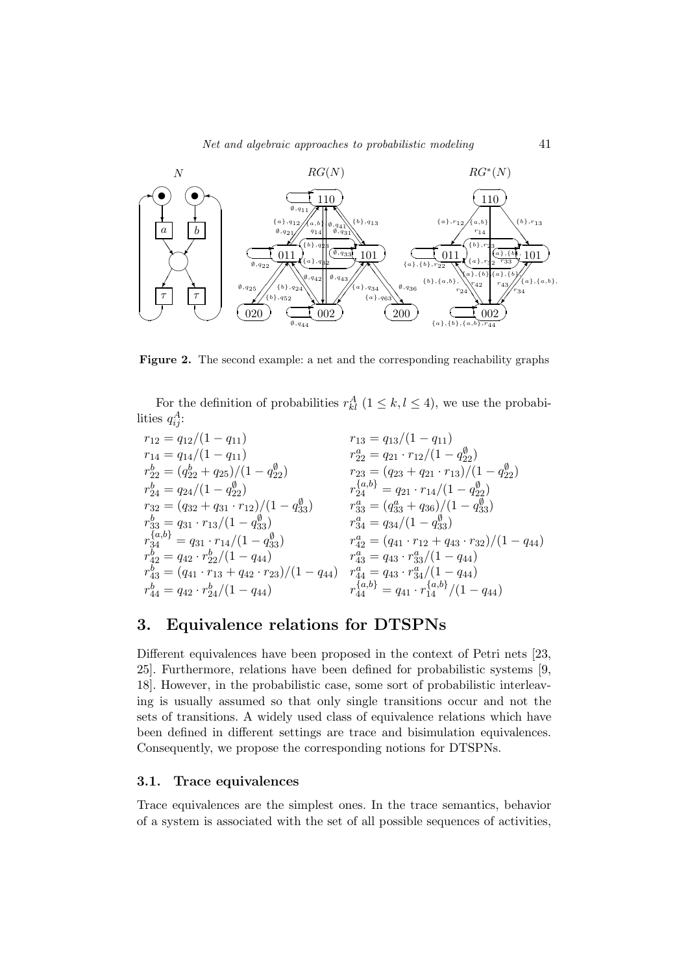

Figure 2. The second example: a net and the corresponding reachability graphs

For the definition of probabilities  $r_{kl}^A$   $(1 \leq k, l \leq 4)$ , we use the probabilities  $q_{ij}^A$ :

$$
\begin{array}{llll}\nr_{12} = q_{12}/(1 - q_{11}) & r_{13} = q_{13}/(1 - q_{11}) \\
r_{14} = q_{14}/(1 - q_{11}) & r_{22}^2 = q_{21} \cdot r_{12}/(1 - q_{22}^0) \\
r_{22}^b = (q_{22}^b + q_{25})/(1 - q_{22}^0) & r_{23} = (q_{23} + q_{21} \cdot r_{13})/(1 - q_{22}^0) \\
r_{24}^b = q_{24}/(1 - q_{22}^0) & r_{24}^{\{a,b\}} = q_{21} \cdot r_{14}/(1 - q_{22}^0) \\
r_{32}^b = (q_{32} + q_{31} \cdot r_{12})/(1 - q_{33}^0) & r_{33}^a = (q_{33}^a + q_{36})/(1 - q_{33}^0) \\
r_{34}^{\{a,b\}} = q_{31} \cdot r_{13}/(1 - q_{33}^0) & r_{34}^a = q_{34}/(1 - q_{33}^0) \\
r_{34}^{\{a,b\}} = q_{31} \cdot r_{14}/(1 - q_{33}^0) & r_{42}^a = (q_{41} \cdot r_{12} + q_{43} \cdot r_{32})/(1 - q_{44}) \\
r_{42}^b = q_{42} \cdot r_{22}^b/(1 - q_{44}) & r_{43}^a = q_{43} \cdot r_{33}^a/(1 - q_{44}) \\
r_{43}^b = (q_{41} \cdot r_{13} + q_{42} \cdot r_{23})/(1 - q_{44}) & r_{44}^{\{a,b\}} = q_{41} \cdot r_{14}^{\{a,b\}}/(1 - q_{44}) \\
r_{44}^b = q_{42} \cdot r_{24}^b/(1 - q_{44}) & r_{44}^{\{a,b\}} = q_{41} \cdot r_{14}^{\{a,b\}}/(1 - q_{44})\n\end{array}
$$

## 3. Equivalence relations for DTSPNs

Different equivalences have been proposed in the context of Petri nets [23, 25]. Furthermore, relations have been defined for probabilistic systems [9, 18]. However, in the probabilistic case, some sort of probabilistic interleaving is usually assumed so that only single transitions occur and not the sets of transitions. A widely used class of equivalence relations which have been defined in different settings are trace and bisimulation equivalences. Consequently, we propose the corresponding notions for DTSPNs.

#### 3.1. Trace equivalences

Trace equivalences are the simplest ones. In the trace semantics, behavior of a system is associated with the set of all possible sequences of activities,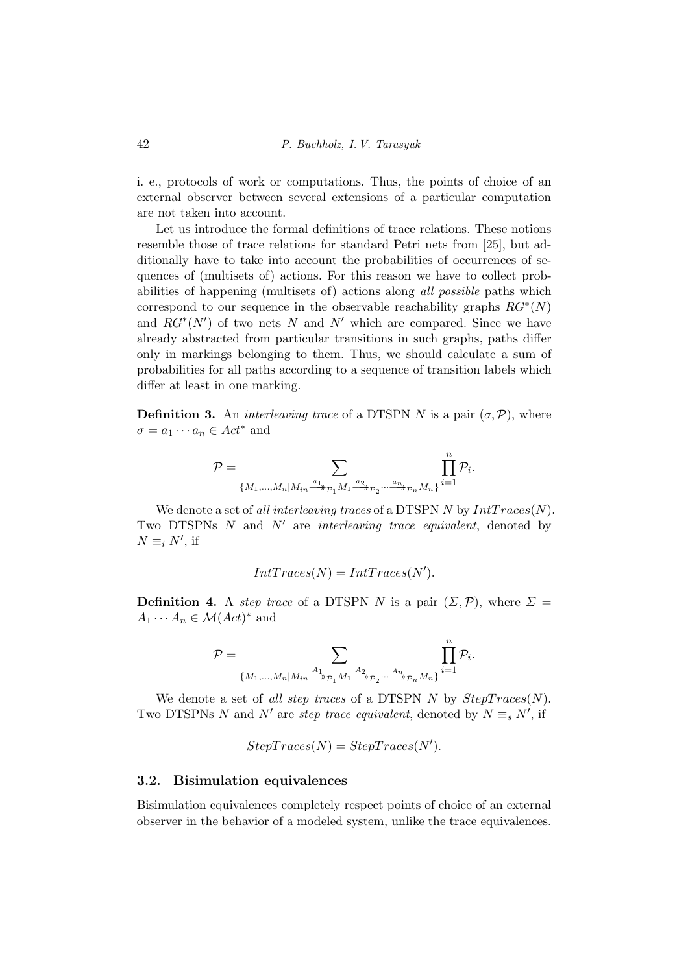i. e., protocols of work or computations. Thus, the points of choice of an external observer between several extensions of a particular computation are not taken into account.

Let us introduce the formal definitions of trace relations. These notions resemble those of trace relations for standard Petri nets from [25], but additionally have to take into account the probabilities of occurrences of sequences of (multisets of) actions. For this reason we have to collect probabilities of happening (multisets of) actions along all possible paths which correspond to our sequence in the observable reachability graphs  $RG^*(N)$ and  $RG^*(N')$  of two nets N and N' which are compared. Since we have already abstracted from particular transitions in such graphs, paths differ only in markings belonging to them. Thus, we should calculate a sum of probabilities for all paths according to a sequence of transition labels which differ at least in one marking.

**Definition 3.** An *interleaving trace* of a DTSPN N is a pair  $(\sigma, \mathcal{P})$ , where  $\sigma = a_1 \cdots a_n \in Act^*$  and

$$
\mathcal{P} = \sum_{\{M_1,\ldots,M_n \mid M_{in} \stackrel{a_1}{\longrightarrow} p_1 M_1 \stackrel{a_2}{\longrightarrow} p_2 \ldots \stackrel{a_n}{\longrightarrow} p_n M_n\}} \prod_{i=1}^n \mathcal{P}_i.
$$

We denote a set of all interleaving traces of a DTSPN N by  $IntTraces(N)$ . Two DTSPNs  $N$  and  $N'$  are *interleaving trace equivalent*, denoted by  $N \equiv_i N'$ , if

$$
IntTraces(N) = IntTraces(N').
$$

**Definition 4.** A step trace of a DTSPN N is a pair  $(\Sigma, \mathcal{P})$ , where  $\Sigma =$  $A_1 \cdots A_n \in \mathcal{M}(Act)^*$  and

$$
\mathcal{P}=\sum_{\{M_1,\ldots,M_n|M_{in}\overset{A_1}{\longrightarrow}_{\mathcal{P}_1}M_1\overset{A_2}{\longrightarrow}_{\mathcal{P}_2}\ldots\overset{A_n}{\longrightarrow}_{\mathcal{P}_n}M_n\}}\prod_{i=1}^n\mathcal{P}_i.
$$

We denote a set of all step traces of a DTSPN  $N$  by  $StepTrace(N)$ . Two DTSPNs N and N' are step trace equivalent, denoted by  $N \equiv_s N'$ , if

$$
StepTraces(N) = StepTraces(N').
$$

#### 3.2. Bisimulation equivalences

Bisimulation equivalences completely respect points of choice of an external observer in the behavior of a modeled system, unlike the trace equivalences.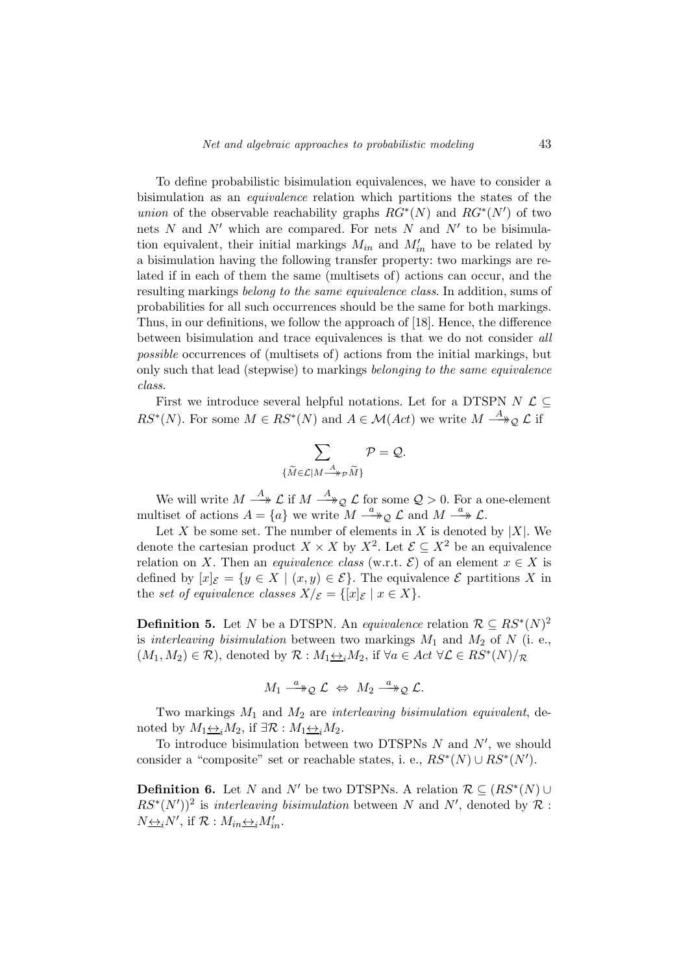To define probabilistic bisimulation equivalences, we have to consider a bisimulation as an equivalence relation which partitions the states of the *union* of the observable reachability graphs  $RG^*(N)$  and  $RG^*(N')$  of two nets  $N$  and  $N'$  which are compared. For nets  $N$  and  $N'$  to be bisimulation equivalent, their initial markings  $M_{in}$  and  $M'_{in}$  have to be related by a bisimulation having the following transfer property: two markings are related if in each of them the same (multisets of) actions can occur, and the resulting markings belong to the same equivalence class. In addition, sums of probabilities for all such occurrences should be the same for both markings. Thus, in our definitions, we follow the approach of [18]. Hence, the difference between bisimulation and trace equivalences is that we do not consider all possible occurrences of (multisets of) actions from the initial markings, but only such that lead (stepwise) to markings belonging to the same equivalence class.

First we introduce several helpful notations. Let for a DTSPN  $N \mathcal{L} \subset$  $RS^*(N)$ . For some  $M \in RS^*(N)$  and  $A \in \mathcal{M}(Act)$  we write  $M \stackrel{A}{\longrightarrow}_\mathcal{Q} \mathcal{L}$  if

$$
\sum_{\{\widetilde{M}\in\mathcal{L}|M\stackrel{A}{\longrightarrow}_{\mathcal{P}}\widetilde{M}\}}\mathcal{P}=\mathcal{Q}.
$$

We will write  $M \stackrel{A}{\longrightarrow} \mathcal{L}$  if  $M \stackrel{A}{\longrightarrow} \mathcal{Q}$   $\mathcal{L}$  for some  $\mathcal{Q} > 0$ . For a one-element multiset of actions  $A = \{a\}$  we write  $M \stackrel{a}{\longrightarrow} Q \mathcal{L}$  and  $M \stackrel{a}{\longrightarrow} \mathcal{L}$ .

Let X be some set. The number of elements in X is denoted by  $|X|$ . We denote the cartesian product  $X \times X$  by  $X^2$ . Let  $\mathcal{E} \subseteq X^2$  be an equivalence relation on X. Then an *equivalence class* (w.r.t.  $\mathcal{E}$ ) of an element  $x \in X$  is defined by  $[x]_{\mathcal{E}} = \{y \in X \mid (x, y) \in \mathcal{E}\}\)$ . The equivalence  $\mathcal{E}$  partitions X in the set of equivalence classes  $X/\varepsilon = \{ [x]_{\mathcal{E}} \mid x \in X \}.$ 

**Definition 5.** Let N be a DTSPN. An equivalence relation  $\mathcal{R} \subseteq RS^*(N)^2$ is interleaving bisimulation between two markings  $M_1$  and  $M_2$  of N (i. e.,  $(M_1, M_2) \in \mathcal{R}$ , denoted by  $\mathcal{R}: M_1 \rightarrow M_2$ , if  $\forall a \in Act \ \forall \mathcal{L} \in RS^*(N)/\mathcal{R}$ 

$$
M_1 \stackrel{a}{\longrightarrow}_\mathcal{Q} \mathcal{L} \Leftrightarrow M_2 \stackrel{a}{\longrightarrow}_\mathcal{Q} \mathcal{L}.
$$

Two markings  $M_1$  and  $M_2$  are interleaving bisimulation equivalent, denoted by  $M_1 \leftrightarrow_i M_2$ , if  $\exists \mathcal{R} : M_1 \leftrightarrow_i M_2$ .

To introduce bisimulation between two DTSPNs  $N$  and  $N'$ , we should consider a "composite" set or reachable states, i. e.,  $RS^*(N) \cup RS^*(N')$ .

**Definition 6.** Let N and N' be two DTSPNs. A relation  $\mathcal{R} \subseteq (RS^*(N) \cup$  $RS^*(N')^2$  is interleaving bisimulation between N and N', denoted by R:  $N_{\underbrace{\leftrightarrow_i}}N'$ , if  $\mathcal{R}: M_{in} \underbrace{\leftrightarrow_i}M'_{in}$ .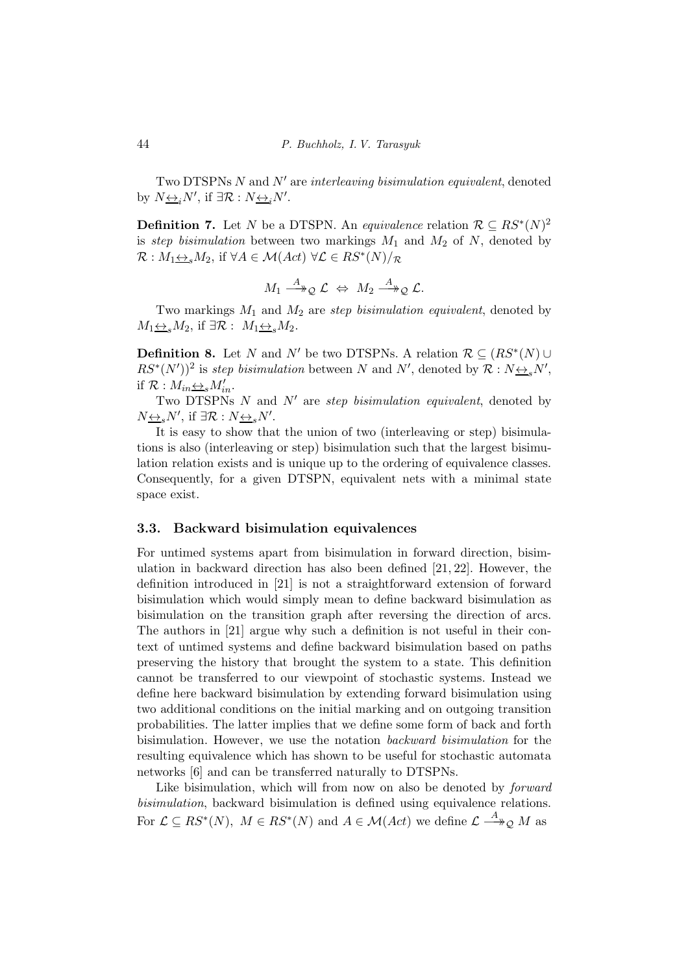Two DTSPNs N and N' are interleaving bisimulation equivalent, denoted by  $N \underline{\leftrightarrow}_i N'$ , if  $\exists \mathcal{R} : N \underline{\leftrightarrow}_i N'$ .

**Definition 7.** Let N be a DTSPN. An equivalence relation  $\mathcal{R} \subseteq RS^*(N)^2$ is step bisimulation between two markings  $M_1$  and  $M_2$  of N, denoted by  $\mathcal{R}: M_1 \underline{\leftrightarrow}_s M_2$ , if  $\forall A \in \mathcal{M}(Act) \ \forall \mathcal{L} \in RS^*(N)/_{\mathcal{R}}$ 

$$
M_1 \stackrel{A}{\longrightarrow}_\mathcal{Q} \mathcal{L} \Leftrightarrow M_2 \stackrel{A}{\longrightarrow}_\mathcal{Q} \mathcal{L}.
$$

Two markings  $M_1$  and  $M_2$  are step bisimulation equivalent, denoted by  $M_1 \leftrightarrow sM_2$ , if  $\exists \mathcal{R}: M_1 \leftrightarrow sM_2$ .

**Definition 8.** Let N and N' be two DTSPNs. A relation  $\mathcal{R} \subseteq (RS^*(N) \cup$  $RS^*(N')^2$  is step bisimulation between N and N', denoted by  $\mathcal{R}: N \rightarrow N'$ , if  $\mathcal{R}: M_{in} \underline{\leftrightarrow_s} M'_{in}$ .

Two DTSPNs  $N$  and  $N'$  are step bisimulation equivalent, denoted by  $N_{\frac{\leftrightarrow s}{s}}N'$ , if  $\exists \mathcal{R}: N_{\frac{\leftrightarrow s}{s}}N'$ .

It is easy to show that the union of two (interleaving or step) bisimulations is also (interleaving or step) bisimulation such that the largest bisimulation relation exists and is unique up to the ordering of equivalence classes. Consequently, for a given DTSPN, equivalent nets with a minimal state space exist.

#### 3.3. Backward bisimulation equivalences

For untimed systems apart from bisimulation in forward direction, bisimulation in backward direction has also been defined [21, 22]. However, the definition introduced in [21] is not a straightforward extension of forward bisimulation which would simply mean to define backward bisimulation as bisimulation on the transition graph after reversing the direction of arcs. The authors in [21] argue why such a definition is not useful in their context of untimed systems and define backward bisimulation based on paths preserving the history that brought the system to a state. This definition cannot be transferred to our viewpoint of stochastic systems. Instead we define here backward bisimulation by extending forward bisimulation using two additional conditions on the initial marking and on outgoing transition probabilities. The latter implies that we define some form of back and forth bisimulation. However, we use the notation backward bisimulation for the resulting equivalence which has shown to be useful for stochastic automata networks [6] and can be transferred naturally to DTSPNs.

Like bisimulation, which will from now on also be denoted by *forward* bisimulation, backward bisimulation is defined using equivalence relations. For  $\mathcal{L} \subseteq RS^*(N)$ ,  $M \in RS^*(N)$  and  $A \in \mathcal{M}(Act)$  we define  $\mathcal{L} \stackrel{A}{\longrightarrow}_\mathcal{Q} M$  as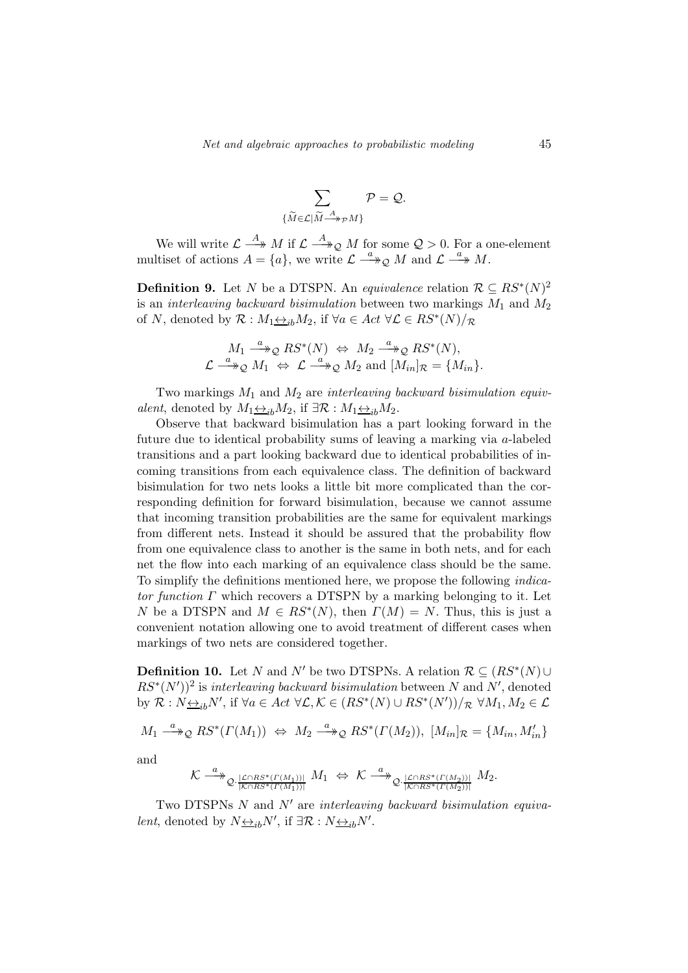$$
\sum_{\{\widetilde{M}\in\mathcal{L}|\widetilde{M}\longrightarrow P\neq M\}}\mathcal{P}=\mathcal{Q}.
$$

We will write  $\mathcal{L} \stackrel{A}{\longrightarrow} M$  if  $\mathcal{L} \stackrel{A}{\longrightarrow}_\mathcal{Q} M$  for some  $\mathcal{Q} > 0$ . For a one-element multiset of actions  $A = \{a\}$ , we write  $\mathcal{L} \stackrel{a}{\longrightarrow} \mathcal{Q}$  M and  $\mathcal{L} \stackrel{a}{\longrightarrow} M$ .

**Definition 9.** Let N be a DTSPN. An equivalence relation  $\mathcal{R} \subseteq RS^*(N)^2$ is an *interleaving backward bisimulation* between two markings  $M_1$  and  $M_2$ of N, denoted by  $\mathcal{R}: M_1 \rightarrow B_1 M_2$ , if  $\forall a \in Act \ \forall \mathcal{L} \in RS^*(N)/\mathcal{R}$ 

$$
M_1 \xrightarrow{a} \mathcal{Q} RS^*(N) \Leftrightarrow M_2 \xrightarrow{a} \mathcal{Q} RS^*(N),
$$
  

$$
\mathcal{L} \xrightarrow{a} \mathcal{Q} M_1 \Leftrightarrow \mathcal{L} \xrightarrow{a} \mathcal{Q} M_2 \text{ and } [M_{in}]_{\mathcal{R}} = \{M_{in}\}.
$$

Two markings  $M_1$  and  $M_2$  are interleaving backward bisimulation equivalent, denoted by  $M_1 \underline{\leftrightarrow}_{ib} M_2$ , if  $\exists \mathcal{R} : M_1 \underline{\leftrightarrow}_{ib} M_2$ .

Observe that backward bisimulation has a part looking forward in the future due to identical probability sums of leaving a marking via a-labeled transitions and a part looking backward due to identical probabilities of incoming transitions from each equivalence class. The definition of backward bisimulation for two nets looks a little bit more complicated than the corresponding definition for forward bisimulation, because we cannot assume that incoming transition probabilities are the same for equivalent markings from different nets. Instead it should be assured that the probability flow from one equivalence class to another is the same in both nets, and for each net the flow into each marking of an equivalence class should be the same. To simplify the definitions mentioned here, we propose the following indicator function  $\Gamma$  which recovers a DTSPN by a marking belonging to it. Let N be a DTSPN and  $M \in RS^*(N)$ , then  $\Gamma(M) = N$ . Thus, this is just a convenient notation allowing one to avoid treatment of different cases when markings of two nets are considered together.

**Definition 10.** Let N and N' be two DTSPNs. A relation  $\mathcal{R} \subseteq (RS^*(N) \cup$  $RS^*(N')^2$  is interleaving backward bisimulation between N and N', denoted by  $\mathcal{R}: N \underline{\leftrightarrow}_{ib} N'$ , if  $\forall a \in Act \ \forall \mathcal{L}, \mathcal{K} \in (RS^*(N) \cup RS^*(N'))/\mathcal{R} \ \forall M_1, M_2 \in \mathcal{L}$ 

 $M_1 \stackrel{a}{\longrightarrow}_\mathcal{Q} RS^*(\Gamma(M_1)) \Leftrightarrow M_2 \stackrel{a}{\longrightarrow}_\mathcal{Q} RS^*(\Gamma(M_2)), \ [M_{in}]_\mathcal{R} = \{M_{in}, M'_{in}\}$ 

and

$$
\mathcal{K} \xrightarrow{a} \mathcal{Q} \xrightarrow[\mathcal{K} \cap RS^*(\Gamma(M_1))]} M_1 \Leftrightarrow \mathcal{K} \xrightarrow{a} \mathcal{Q} \xrightarrow[\mathcal{K} \cap RS^*(\Gamma(M_2))]} M_2.
$$

Two DTSPNs  $N$  and  $N'$  are interleaving backward bisimulation equiva*lent*, denoted by  $N \underline{\leftrightarrow}_{ib} N'$ , if  $\exists \mathcal{R} : N \underline{\leftrightarrow}_{ib} N'$ .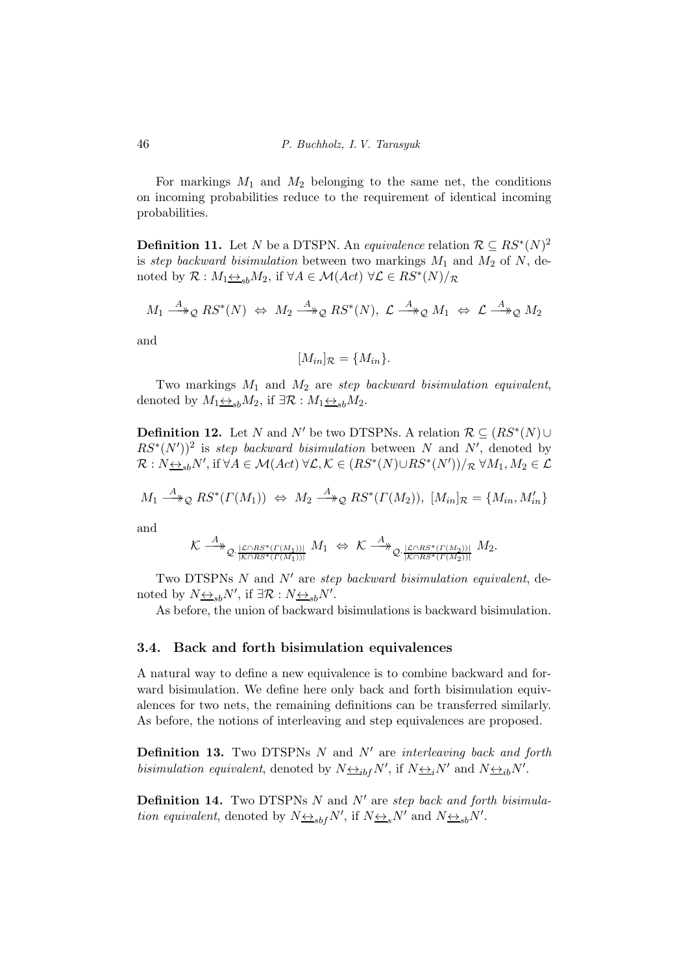For markings  $M_1$  and  $M_2$  belonging to the same net, the conditions on incoming probabilities reduce to the requirement of identical incoming probabilities.

**Definition 11.** Let N be a DTSPN. An equivalence relation  $\mathcal{R} \subseteq RS^*(N)^2$ is step backward bisimulation between two markings  $M_1$  and  $M_2$  of N, denoted by  $\mathcal{R}: M_1 \underline{\leftrightarrow}_{sb} M_2$ , if  $\forall A \in \mathcal{M}(Act) \ \forall \mathcal{L} \in RS^*(N)/_{\mathcal{R}}$ 

$$
M_1 \stackrel{A}{\longrightarrow}_\mathcal{Q} RS^*(N) \Leftrightarrow M_2 \stackrel{A}{\longrightarrow}_\mathcal{Q} RS^*(N), \ \mathcal{L} \stackrel{A}{\longrightarrow}_\mathcal{Q} M_1 \Leftrightarrow \mathcal{L} \stackrel{A}{\longrightarrow}_\mathcal{Q} M_2
$$

and

$$
[M_{in}]\mathcal{R} = \{M_{in}\}.
$$

Two markings  $M_1$  and  $M_2$  are step backward bisimulation equivalent, denoted by  $M_1 \underline{\leftrightarrow}_{sb} M_2$ , if  $\exists \mathcal{R} : M_1 \underline{\leftrightarrow}_{sb} M_2$ .

**Definition 12.** Let N and N' be two DTSPNs. A relation  $\mathcal{R} \subseteq (RS^*(N) \cup$  $RS^*(N')^2$  is step backward bisimulation between N and N', denoted by  $\mathcal{R}: N_{\frac{\leftrightarrow}{\leq b}N'}$ , if  $\forall A \in \mathcal{M}(Act) \ \forall \mathcal{L}, \mathcal{K} \in (RS^*(N) \cup RS^*(N'))/R \ \forall M_1, M_2 \in \mathcal{L}$ 

$$
M_1 \stackrel{A}{\longrightarrow}_\mathcal{Q} RS^*(\Gamma(M_1)) \Leftrightarrow M_2 \stackrel{A}{\longrightarrow}_\mathcal{Q} RS^*(\Gamma(M_2)), \ [M_{in}]_\mathcal{R} = \{M_{in}, M'_{in}\}\
$$

and

$$
\mathcal{K} \xrightarrow{A} \mathcal{Q} \xrightarrow[\mathcal{K} \cap RS^*(\Gamma(M_1))]} M_1 \Leftrightarrow \mathcal{K} \xrightarrow{A} \mathcal{Q} \xrightarrow[\mathcal{K} \cap RS^*(\Gamma(M_2))]} M_2.
$$

Two DTSPNs  $N$  and  $N'$  are step backward bisimulation equivalent, denoted by  $N_{\frac{\leftrightarrow}{s}b}N'$ , if  $\exists \mathcal{R}: N_{\frac{\leftrightarrow}{s}b}N'$ .

As before, the union of backward bisimulations is backward bisimulation.

#### 3.4. Back and forth bisimulation equivalences

A natural way to define a new equivalence is to combine backward and forward bisimulation. We define here only back and forth bisimulation equivalences for two nets, the remaining definitions can be transferred similarly. As before, the notions of interleaving and step equivalences are proposed.

**Definition 13.** Two DTSPNs  $N$  and  $N'$  are interleaving back and forth bisimulation equivalent, denoted by  $N \underline{\leftrightarrow}_{ibf} N'$ , if  $N \underline{\leftrightarrow}_{i} N'$  and  $N \underline{\leftrightarrow}_{ib} N'$ .

**Definition 14.** Two DTSPNs  $N$  and  $N'$  are step back and forth bisimulation equivalent, denoted by  $N \underline{\leftrightarrow}_{sbf} N'$ , if  $N \underline{\leftrightarrow}_{s} N'$  and  $N \underline{\leftrightarrow}_{sb} N'$ .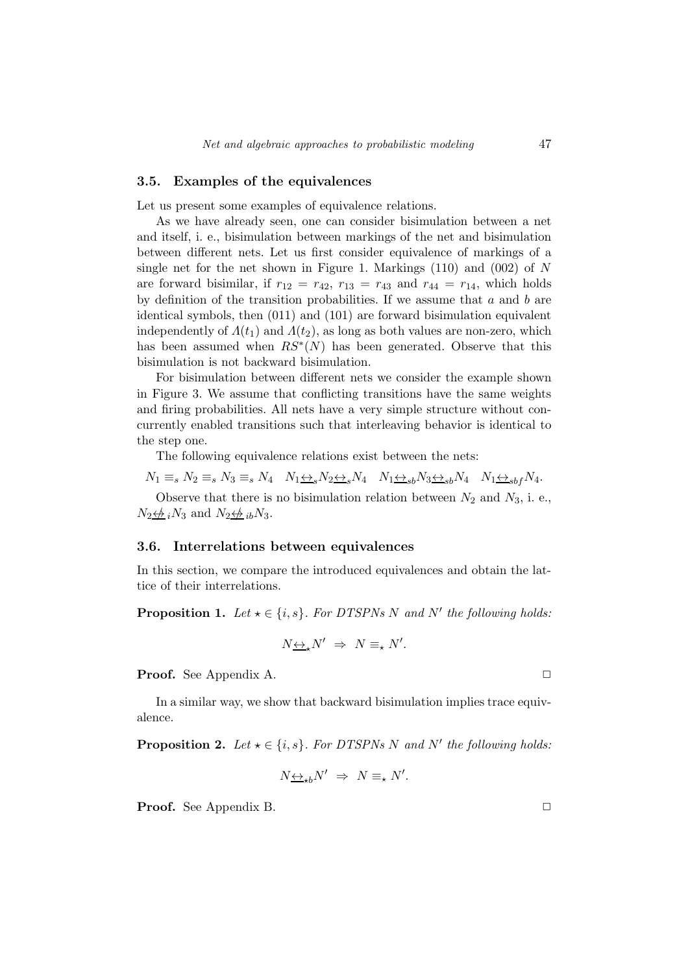#### 3.5. Examples of the equivalences

Let us present some examples of equivalence relations.

As we have already seen, one can consider bisimulation between a net and itself, i. e., bisimulation between markings of the net and bisimulation between different nets. Let us first consider equivalence of markings of a single net for the net shown in Figure 1. Markings  $(110)$  and  $(002)$  of N are forward bisimilar, if  $r_{12} = r_{42}$ ,  $r_{13} = r_{43}$  and  $r_{44} = r_{14}$ , which holds by definition of the transition probabilities. If we assume that  $a$  and  $b$  are identical symbols, then (011) and (101) are forward bisimulation equivalent independently of  $\Lambda(t_1)$  and  $\Lambda(t_2)$ , as long as both values are non-zero, which has been assumed when  $RS^*(N)$  has been generated. Observe that this bisimulation is not backward bisimulation.

For bisimulation between different nets we consider the example shown in Figure 3. We assume that conflicting transitions have the same weights and firing probabilities. All nets have a very simple structure without concurrently enabled transitions such that interleaving behavior is identical to the step one.

The following equivalence relations exist between the nets:

 $N_1 \equiv_s N_2 \equiv_s N_3 \equiv_s N_4 \quad N_1 \leftrightarrow_s N_2 \leftrightarrow_s N_4 \quad N_1 \leftrightarrow_{sb} N_3 \leftrightarrow_{sb} N_4 \quad N_1 \leftrightarrow_{sb} N_4.$ 

Observe that there is no bisimulation relation between  $N_2$  and  $N_3$ , i. e.,  $N_2 \not\leftrightarrow_i N_3$  and  $N_2 \not\leftrightarrow_i N_3$ .

#### 3.6. Interrelations between equivalences

In this section, we compare the introduced equivalences and obtain the lattice of their interrelations.

**Proposition 1.** Let  $\star \in \{i, s\}$ . For DTSPNs N and N' the following holds:

$$
N_{\frac{\leftrightarrow}{\longrightarrow}}N' \Rightarrow N \equiv_{\star} N'.
$$

**Proof.** See Appendix A. □

In a similar way, we show that backward bisimulation implies trace equivalence.

**Proposition 2.** Let  $\star \in \{i, s\}$ . For DTSPNs N and N' the following holds:

$$
N\underline{\leftrightarrow}_{\star b}N' \Rightarrow N \equiv_{\star} N'.
$$

**Proof.** See Appendix B.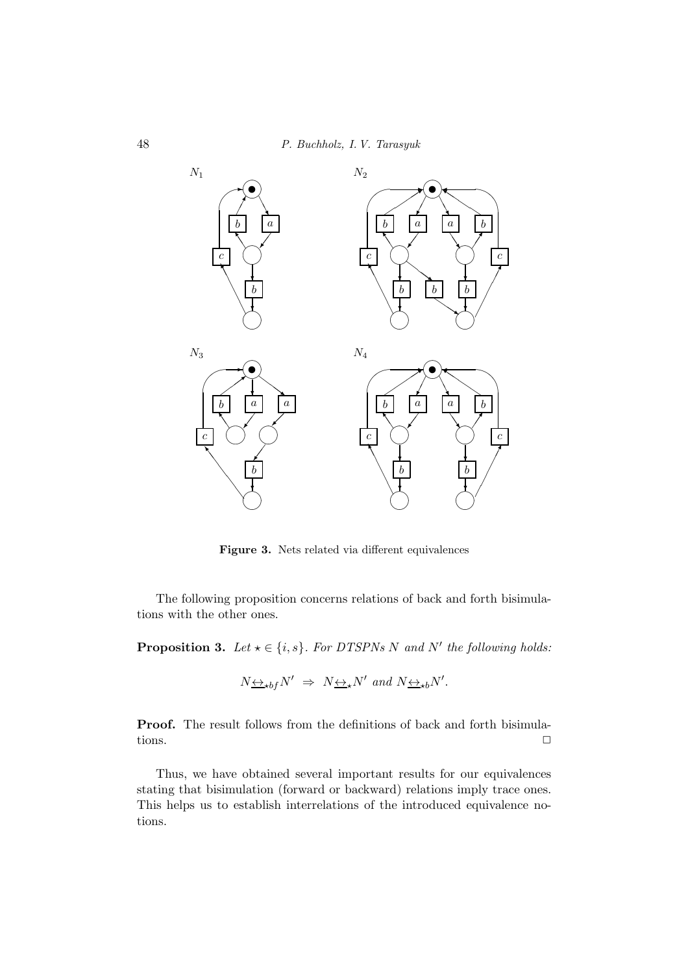

Figure 3. Nets related via different equivalences

The following proposition concerns relations of back and forth bisimulations with the other ones.

**Proposition 3.** Let  $\star \in \{i, s\}$ . For DTSPNs N and N' the following holds:

$$
N \leftrightarrow_{\star b f} N' \Rightarrow N \leftrightarrow_{\star} N'
$$
 and  $N \leftrightarrow_{\star b} N'$ .

Proof. The result follows from the definitions of back and forth bisimulations.  $\Box$ 

Thus, we have obtained several important results for our equivalences stating that bisimulation (forward or backward) relations imply trace ones. This helps us to establish interrelations of the introduced equivalence notions.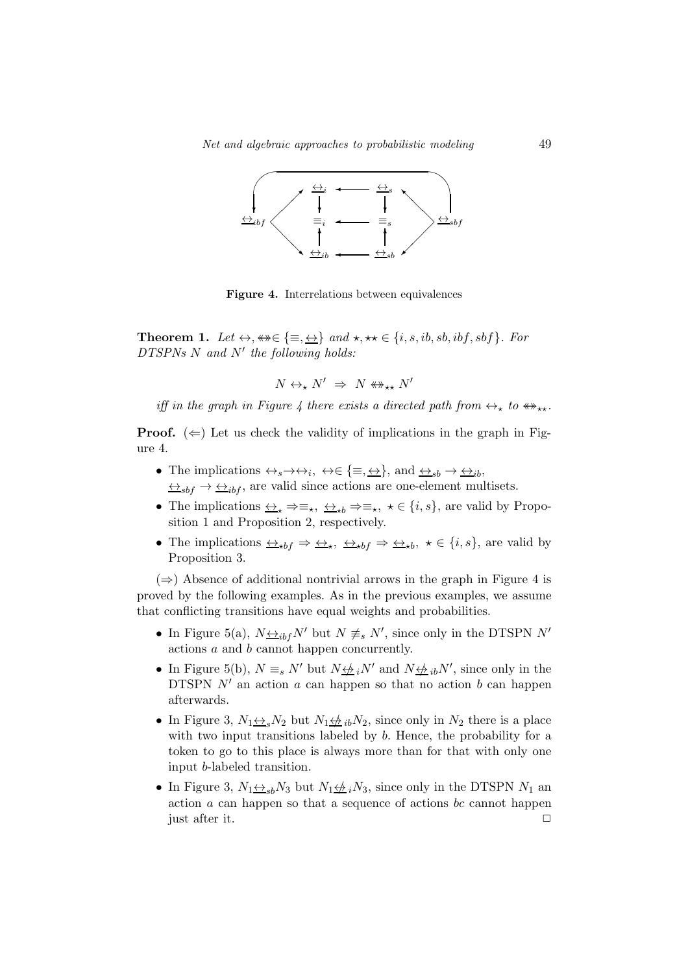

Figure 4. Interrelations between equivalences

**Theorem 1.** Let  $\leftrightarrow$ ,  $\ast\ast \in \{\equiv, \leftrightarrow\}$  and  $\star$ ,  $\star\star \in \{i, s, ib, sb, ibf, sbf\}$ . For  $DTSPNs$  N and N' the following holds:

$$
N \leftrightarrow_{\star} N' \;\Rightarrow\; N \not\leftrightarrow_{\star\star} N'
$$

iff in the graph in Figure 4 there exists a directed path from  $\leftrightarrow_{\star}$  to  $\leftrightarrow_{\star\star}$ .

**Proof.** ( $\Leftarrow$ ) Let us check the validity of implications in the graph in Figure 4.

- The implications  $\leftrightarrow_s \rightarrow \leftrightarrow_i$ ,  $\leftrightarrow \in \{\equiv, \underline{\leftrightarrow}\}$ , and  $\leftrightarrow_{sb} \rightarrow \leftrightarrow_{ib}$ ,  $\leftrightarrow_{sbf} \rightarrow \leftrightarrow_{ibf}$ , are valid since actions are one-element multisets.
- The implications  $\leftrightarrow_{\star} \Rightarrow \equiv_{\star}, \leftrightarrow_{\star b} \Rightarrow \equiv_{\star}, \star \in \{i, s\}$ , are valid by Proposition 1 and Proposition 2, respectively.
- The implications  $\iff_{*bf \to *}\iff \iff_{*bf \to *}\iff \iff_{*bf \to *}\iff (i, s)$ , are valid by Proposition 3.

 $(\Rightarrow)$  Absence of additional nontrivial arrows in the graph in Figure 4 is proved by the following examples. As in the previous examples, we assume that conflicting transitions have equal weights and probabilities.

- In Figure 5(a),  $N_{\frac{\leftrightarrow}{\pm}if}N'$  but  $N \neq s N'$ , since only in the DTSPN  $N'$ actions a and b cannot happen concurrently.
- In Figure 5(b),  $N \equiv_s N'$  but  $N \not\equiv_i N'$  and  $N \not\equiv_i N'$ , since only in the DTSPN  $N'$  an action  $a$  can happen so that no action  $b$  can happen afterwards.
- In Figure 3,  $N_1 \leftrightarrow_{s} N_2$  but  $N_1 \leftrightarrow_{s} N_2$ , since only in  $N_2$  there is a place with two input transitions labeled by b. Hence, the probability for a token to go to this place is always more than for that with only one input b-labeled transition.
- In Figure 3,  $N_1 \leftrightarrow_{sb} N_3$  but  $N_1 \leftrightarrow_{sb} N_3$ , since only in the DTSPN  $N_1$  and action  $a$  can happen so that a sequence of actions  $bc$  cannot happen just after it.  $\Box$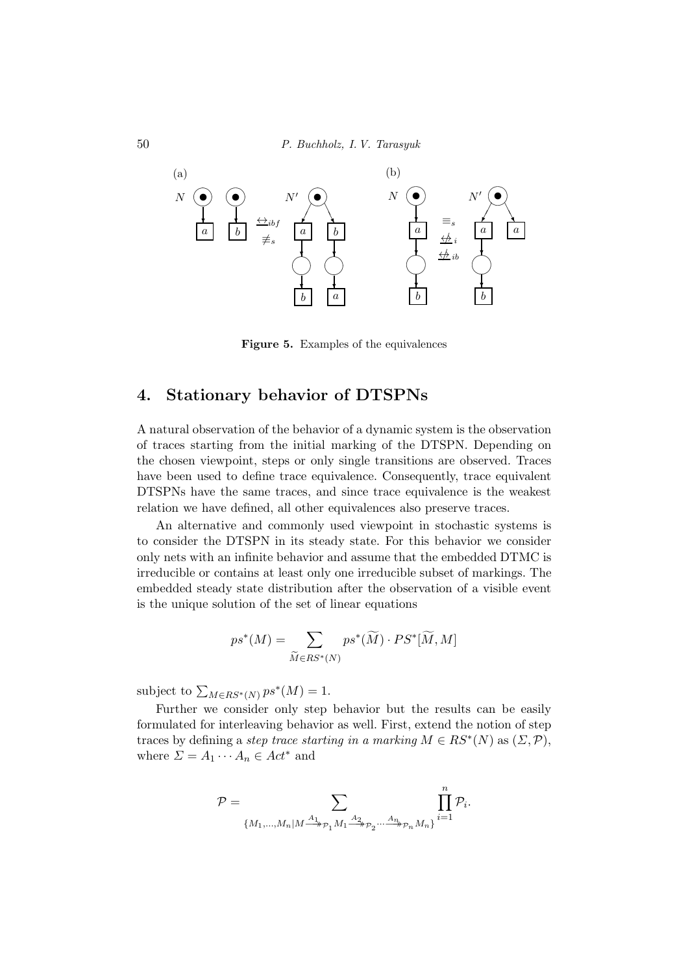50 P. Buchholz, I. V. Tarasyuk



Figure 5. Examples of the equivalences

## 4. Stationary behavior of DTSPNs

A natural observation of the behavior of a dynamic system is the observation of traces starting from the initial marking of the DTSPN. Depending on the chosen viewpoint, steps or only single transitions are observed. Traces have been used to define trace equivalence. Consequently, trace equivalent DTSPNs have the same traces, and since trace equivalence is the weakest relation we have defined, all other equivalences also preserve traces.

An alternative and commonly used viewpoint in stochastic systems is to consider the DTSPN in its steady state. For this behavior we consider only nets with an infinite behavior and assume that the embedded DTMC is irreducible or contains at least only one irreducible subset of markings. The embedded steady state distribution after the observation of a visible event is the unique solution of the set of linear equations

$$
ps^*(M) = \sum_{\widetilde{M} \in RS^*(N)} ps^*(\widetilde{M}) \cdot PS^*[\widetilde{M}, M]
$$

subject to  $\sum_{M \in RS^*(N)} ps^*(M) = 1$ .

Further we consider only step behavior but the results can be easily formulated for interleaving behavior as well. First, extend the notion of step traces by defining a step trace starting in a marking  $M \in RS^*(N)$  as  $(\Sigma, \mathcal{P})$ , where  $\Sigma = A_1 \cdots A_n \in Act^*$  and

$$
\mathcal{P} = \sum_{\{M_1,\ldots,M_n|M\stackrel{A_1}{\longrightarrow}_{\mathcal{P}_1}M_1\stackrel{A_2}{\longrightarrow}_{\mathcal{P}_2} \ldots \stackrel{A_n}{\longrightarrow}_{\mathcal{P}_n}M_n\}} \prod_{i=1}^n \mathcal{P}_i.
$$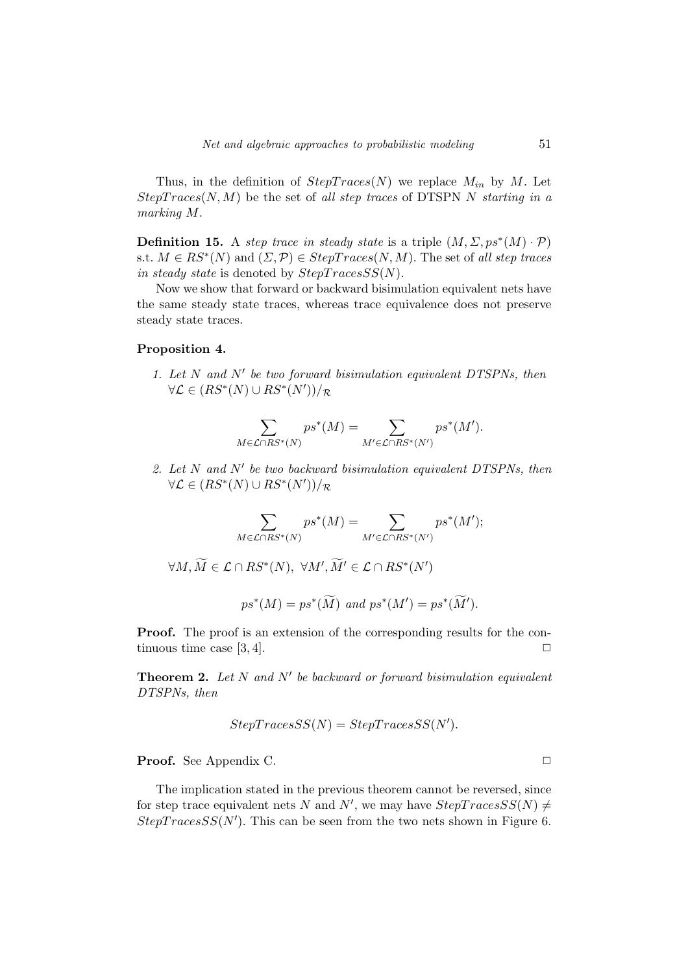Thus, in the definition of  $StepTrace(N)$  we replace  $M_{in}$  by M. Let  $StepTrace(N, M)$  be the set of all step traces of DTSPN N starting in a marking M.

**Definition 15.** A step trace in steady state is a triple  $(M, \Sigma, ps^*(M) \cdot \mathcal{P})$ s.t.  $M \in RS^*(N)$  and  $(\Sigma, \mathcal{P}) \in StepTrace(N, M)$ . The set of all step traces in steady state is denoted by  $StepTraceSS(N)$ .

Now we show that forward or backward bisimulation equivalent nets have the same steady state traces, whereas trace equivalence does not preserve steady state traces.

#### Proposition 4.

1. Let N and N′ be two forward bisimulation equivalent DTSPNs, then  $\forall \mathcal{L} \in (RS^*(N) \cup RS^*(N'))/\mathcal{R}$ 

$$
\sum_{M \in \mathcal{L} \cap RS^*(N)} ps^*(M) = \sum_{M' \in \mathcal{L} \cap RS^*(N')} ps^*(M').
$$

2. Let N and N′ be two backward bisimulation equivalent DTSPNs, then  $\forall \mathcal{L} \in (RS^*(N) \cup RS^*(N'))/\mathcal{R}$ 

$$
\sum_{M \in \mathcal{L} \cap RS^*(N)} ps^*(M) = \sum_{M' \in \mathcal{L} \cap RS^*(N')} ps^*(M');
$$

 $\forall M, \widetilde{M} \in \mathcal{L} \cap RS^*(N), \ \forall M', \widetilde{M}' \in \mathcal{L} \cap RS^*(N')$ 

$$
ps^*(M) = ps^*(\widetilde{M})
$$
 and  $ps^*(M') = ps^*(\widetilde{M}')$ .

**Proof.** The proof is an extension of the corresponding results for the continuous time case  $[3, 4]$ .

**Theorem 2.** Let  $N$  and  $N'$  be backward or forward bisimulation equivalent DTSPNs, then

$$
StepTraces SS(N) = Step Traces SS(N').
$$

**Proof.** See Appendix C.

The implication stated in the previous theorem cannot be reversed, since for step trace equivalent nets N and N', we may have  $StepTracesSS(N) \neq$  $Step TracesSS(N')$ . This can be seen from the two nets shown in Figure 6.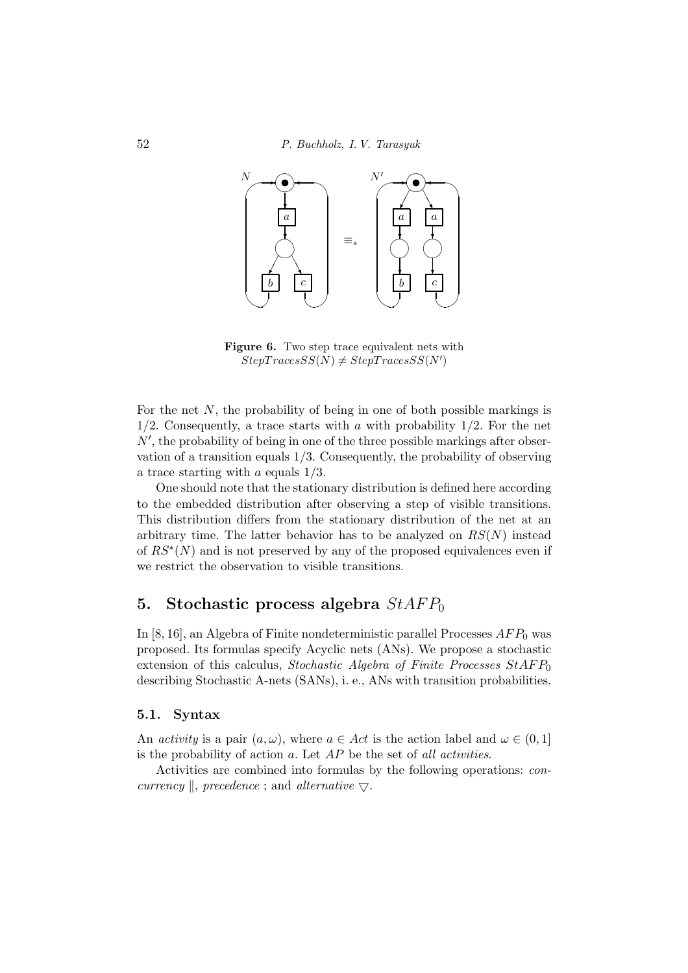

Figure 6. Two step trace equivalent nets with  $StepTracesSS(N) \neq StepTracesSS(N')$ 

For the net  $N$ , the probability of being in one of both possible markings is  $1/2$ . Consequently, a trace starts with a with probability  $1/2$ . For the net N′ , the probability of being in one of the three possible markings after observation of a transition equals 1/3. Consequently, the probability of observing a trace starting with  $a$  equals  $1/3$ .

One should note that the stationary distribution is defined here according to the embedded distribution after observing a step of visible transitions. This distribution differs from the stationary distribution of the net at an arbitrary time. The latter behavior has to be analyzed on  $RS(N)$  instead of  $RS^*(N)$  and is not preserved by any of the proposed equivalences even if we restrict the observation to visible transitions.

## 5. Stochastic process algebra  $StAFP_0$

In  $[8, 16]$ , an Algebra of Finite nondeterministic parallel Processes  $AFP<sub>0</sub>$  was proposed. Its formulas specify Acyclic nets (ANs). We propose a stochastic extension of this calculus, Stochastic Algebra of Finite Processes  $StAFP_0$ describing Stochastic A-nets (SANs), i. e., ANs with transition probabilities.

#### 5.1. Syntax

An activity is a pair  $(a, \omega)$ , where  $a \in Act$  is the action label and  $\omega \in (0, 1]$ is the probability of action  $a$ . Let  $AP$  be the set of all activities.

Activities are combined into formulas by the following operations: concurrency  $\parallel$ , precedence ; and alternative  $\bigtriangledown$ .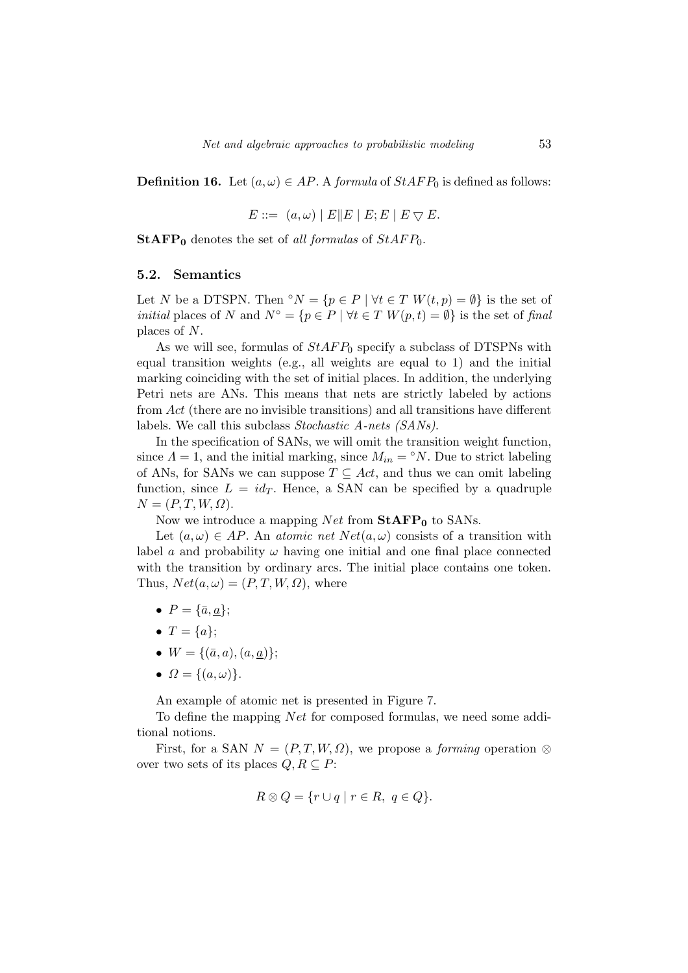**Definition 16.** Let  $(a, \omega) \in AP$ . A formula of  $StAFP_0$  is defined as follows:

$$
E ::= (a, \omega) | E || E | E; E | E \nabla E.
$$

**StAFP**<sup>0</sup> denotes the set of all formulas of  $StAFP_0$ .

#### 5.2. Semantics

Let N be a DTSPN. Then °N = { $p \in P \mid \forall t \in T$  W $(t, p) = \emptyset$ } is the set of *initial* places of N and  $N^{\circ} = \{p \in P \mid \forall t \in T \ W(p, t) = \emptyset\}$  is the set of final places of N.

As we will see, formulas of  $StAFP_0$  specify a subclass of DTSPNs with equal transition weights (e.g., all weights are equal to 1) and the initial marking coinciding with the set of initial places. In addition, the underlying Petri nets are ANs. This means that nets are strictly labeled by actions from Act (there are no invisible transitions) and all transitions have different labels. We call this subclass Stochastic A-nets (SANs).

In the specification of SANs, we will omit the transition weight function, since  $\Lambda = 1$ , and the initial marking, since  $M_{in} = \text{N}$ . Due to strict labeling of ANs, for SANs we can suppose  $T \subseteq Act$ , and thus we can omit labeling function, since  $L = id_T$ . Hence, a SAN can be specified by a quadruple  $N = (P, T, W, \Omega).$ 

Now we introduce a mapping Net from  $StAFP_0$  to SANs.

Let  $(a, \omega) \in AP$ . An atomic net  $Net(a, \omega)$  consists of a transition with label a and probability  $\omega$  having one initial and one final place connected with the transition by ordinary arcs. The initial place contains one token. Thus,  $Net(a, \omega) = (P, T, W, \Omega)$ , where

- $P = {\bar{a}, a}$ ;
- $T = \{a\};$
- $W = \{(\bar{a}, a), (a, \underline{a})\};$
- $\Omega = \{(a, \omega)\}.$

An example of atomic net is presented in Figure 7.

To define the mapping *Net* for composed formulas, we need some additional notions.

First, for a SAN  $N = (P, T, W, \Omega)$ , we propose a *forming* operation ⊗ over two sets of its places  $Q, R \subseteq P$ :

$$
R \otimes Q = \{ r \cup q \mid r \in R, q \in Q \}.
$$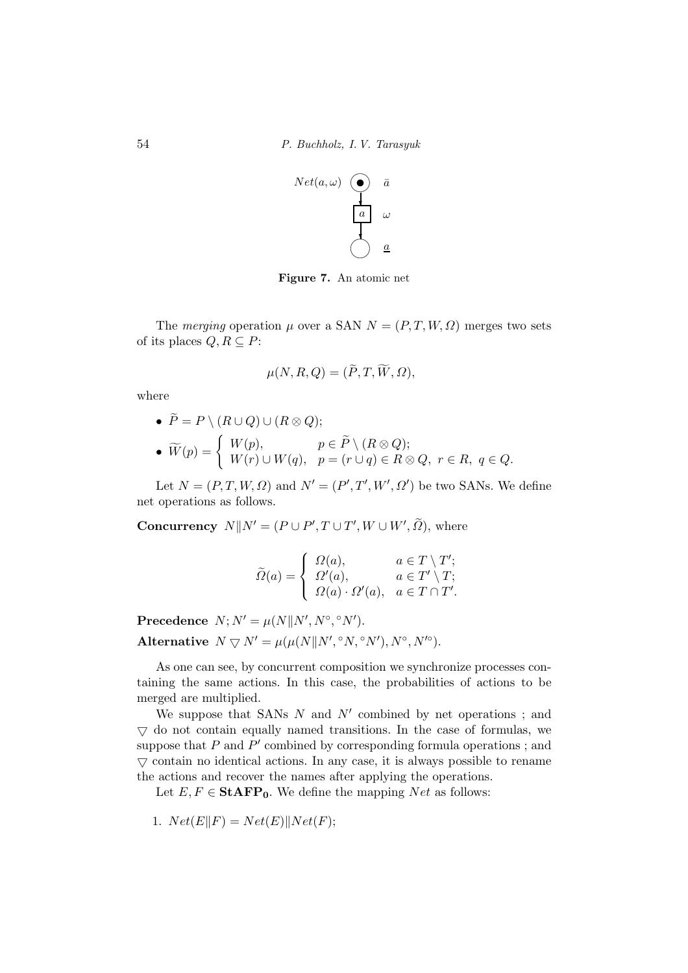

Figure 7. An atomic net

The merging operation  $\mu$  over a SAN  $N = (P, T, W, \Omega)$  merges two sets of its places  $Q, R \subseteq P$ :

$$
\mu(N, R, Q) = (\tilde{P}, T, \tilde{W}, \Omega),
$$

where

\n- \n
$$
\tilde{P} = P \setminus (R \cup Q) \cup (R \otimes Q);
$$
\n
\n- \n
$$
\tilde{W}(p) = \begin{cases} W(p), & p \in \tilde{P} \setminus (R \otimes Q); \\ W(r) \cup W(q), & p = (r \cup q) \in R \otimes Q, \ r \in R, \ q \in Q. \end{cases}
$$
\n
\n

Let  $N = (P, T, W, \Omega)$  and  $N' = (P', T', W', \Omega')$  be two SANs. We define net operations as follows.

**Concurrency**  $N||N' = (P \cup P', T \cup T', W \cup W', \tilde{\Omega})$ , where

$$
\widetilde{\Omega}(a) = \begin{cases}\n\Omega(a), & a \in T \setminus T'; \\
\Omega'(a), & a \in T' \setminus T; \\
\Omega(a) \cdot \Omega'(a), & a \in T \cap T'.\n\end{cases}
$$

Precedence  $N; N' = \mu(N||N', N^{\circ}, \degree N').$ Alternative  $N \nabla N' = \mu(\mu(N|| N', \degree N, \degree N'), N^\circ, N'^\circ).$ 

As one can see, by concurrent composition we synchronize processes containing the same actions. In this case, the probabilities of actions to be merged are multiplied.

We suppose that SANs  $N$  and  $N'$  combined by net operations; and  $\nabla$  do not contain equally named transitions. In the case of formulas, we suppose that  $P$  and  $P'$  combined by corresponding formula operations; and  $\triangledown$  contain no identical actions. In any case, it is always possible to rename the actions and recover the names after applying the operations.

Let  $E, F \in \textbf{StAFP}_0$ . We define the mapping Net as follows:

1.  $Net(E||F) = Net(E)||Net(F);$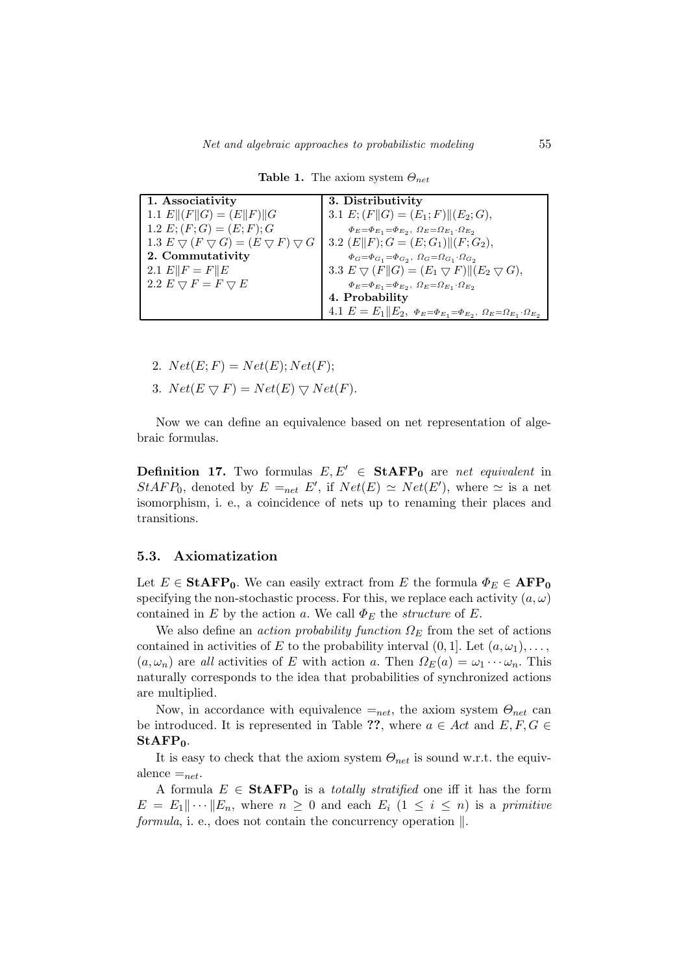| 1. Associativity                                                                            | 3. Distributivity                                                                                      |
|---------------------------------------------------------------------------------------------|--------------------------------------------------------------------------------------------------------|
| 1.1 $E  (F  G) = (E  F)  G$                                                                 | 3.1 $E: (F  G) = (E_1; F)  (E_2; G),$                                                                  |
| 1.2 $E; (F; G) = (E; F); G$                                                                 | $\Phi_E = \Phi_{E_1} = \Phi_{E_2}, \ \Omega_E = \Omega_{E_1} \cdot \Omega_{E_2}$                       |
| 1.3 $E \bigtriangledown (F \bigtriangledown G) = (E \bigtriangledown F) \bigtriangledown G$ | 3.2 $(E  F); G = (E; G_1)  (F; G_2),$                                                                  |
| 2. Commutativity                                                                            | $\Phi_G = \Phi_{G_1} = \Phi_{G_2}, \ \Omega_G = \Omega_{G_1} \cdot \Omega_{G_2}$                       |
| 2.1 $E  F = F  E$                                                                           | 3.3 $E \nabla (F  G) = (E_1 \nabla F)  (E_2 \nabla G),$                                                |
| 2.2 $E \nabla F = F \nabla E$                                                               | $\Phi_E = \Phi_{E_1} = \Phi_{E_2}, \ \Omega_E = \Omega_{E_1} \cdot \Omega_{E_2}$                       |
|                                                                                             | 4. Probability                                                                                         |
|                                                                                             | 4.1 $E = E_1    E_2, \ \Phi_E = \Phi_{E_1} = \Phi_{E_2}, \ \Omega_E = \Omega_{E_1} \cdot \Omega_{E_2}$ |

**Table 1.** The axiom system  $\Theta_{net}$ 

- 2.  $Net(E; F) = Net(E); Net(F);$
- 3.  $Net(E \bigtriangledown F) = Net(E) \bigtriangledown Net(F)$ .

Now we can define an equivalence based on net representation of algebraic formulas.

**Definition 17.** Two formulas  $E, E' \in \text{StAFP}_0$  are net equivalent in  $StAFP_0$ , denoted by  $E =_{net} E'$ , if  $Net(E) \simeq Net(E')$ , where  $\simeq$  is a net isomorphism, i. e., a coincidence of nets up to renaming their places and transitions.

#### 5.3. Axiomatization

Let  $E \in \mathbf{StAFP_0}$ . We can easily extract from E the formula  $\Phi_E \in \mathbf{AFP_0}$ specifying the non-stochastic process. For this, we replace each activity  $(a, \omega)$ contained in E by the action a. We call  $\Phi_E$  the *structure* of E.

We also define an *action probability function*  $\Omega_E$  from the set of actions contained in activities of E to the probability interval  $(0, 1]$ . Let  $(a, \omega_1), \ldots$ ,  $(a, \omega_n)$  are all activities of E with action a. Then  $\Omega_E(a) = \omega_1 \cdots \omega_n$ . This naturally corresponds to the idea that probabilities of synchronized actions are multiplied.

Now, in accordance with equivalence  $=_{net}$ , the axiom system  $\Theta_{net}$  can be introduced. It is represented in Table ??, where  $a \in Act$  and  $E, F, G \in$  $StARP<sub>0</sub>$ .

It is easy to check that the axiom system  $\Theta_{net}$  is sound w.r.t. the equivalence  $=_{net}$ .

A formula  $E \in \text{StAFP}_0$  is a *totally stratified* one iff it has the form  $E = E_1 || \cdots || E_n$ , where  $n \geq 0$  and each  $E_i$   $(1 \leq i \leq n)$  is a primitive formula, i. e., does not contain the concurrency operation  $\parallel$ .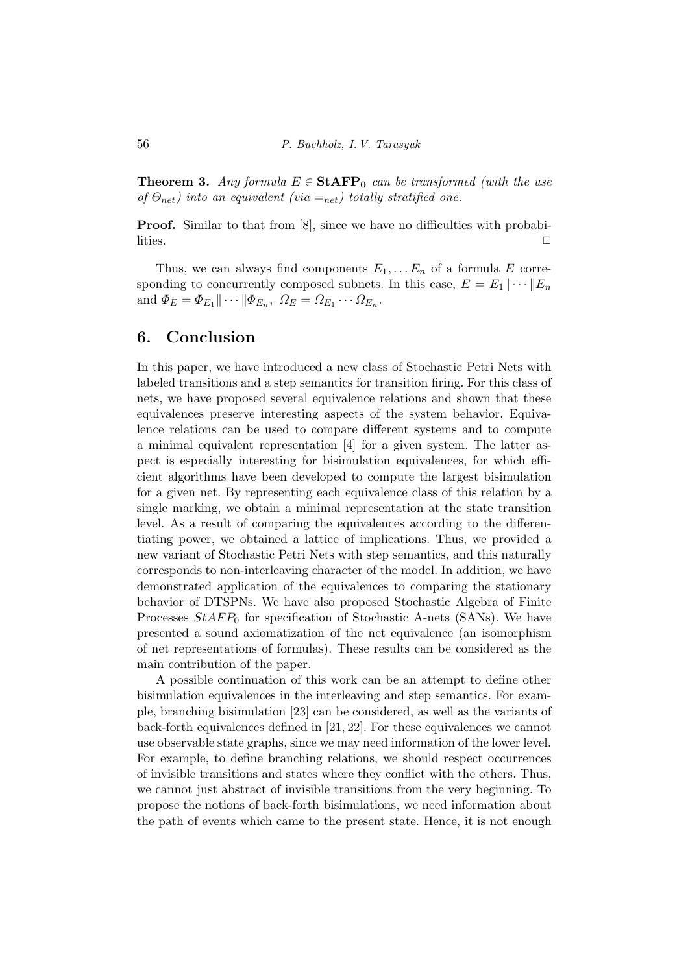**Theorem 3.** Any formula  $E \in \text{StAFP}_0$  can be transformed (with the use of  $\Theta_{net}$ ) into an equivalent (via  $=_{net}$ ) totally stratified one.

**Proof.** Similar to that from [8], since we have no difficulties with probabilities.  $\Box$ 

Thus, we can always find components  $E_1, \ldots E_n$  of a formula E corresponding to concurrently composed subnets. In this case,  $E = E_1 || \cdots || E_n$ and  $\Phi_E = \Phi_{E_1} || \cdots || \Phi_{E_n}, \ \Omega_E = \Omega_{E_1} \cdots \Omega_{E_n}.$ 

## 6. Conclusion

In this paper, we have introduced a new class of Stochastic Petri Nets with labeled transitions and a step semantics for transition firing. For this class of nets, we have proposed several equivalence relations and shown that these equivalences preserve interesting aspects of the system behavior. Equivalence relations can be used to compare different systems and to compute a minimal equivalent representation [4] for a given system. The latter aspect is especially interesting for bisimulation equivalences, for which efficient algorithms have been developed to compute the largest bisimulation for a given net. By representing each equivalence class of this relation by a single marking, we obtain a minimal representation at the state transition level. As a result of comparing the equivalences according to the differentiating power, we obtained a lattice of implications. Thus, we provided a new variant of Stochastic Petri Nets with step semantics, and this naturally corresponds to non-interleaving character of the model. In addition, we have demonstrated application of the equivalences to comparing the stationary behavior of DTSPNs. We have also proposed Stochastic Algebra of Finite Processes  $StAFP_0$  for specification of Stochastic A-nets (SANs). We have presented a sound axiomatization of the net equivalence (an isomorphism of net representations of formulas). These results can be considered as the main contribution of the paper.

A possible continuation of this work can be an attempt to define other bisimulation equivalences in the interleaving and step semantics. For example, branching bisimulation [23] can be considered, as well as the variants of back-forth equivalences defined in [21, 22]. For these equivalences we cannot use observable state graphs, since we may need information of the lower level. For example, to define branching relations, we should respect occurrences of invisible transitions and states where they conflict with the others. Thus, we cannot just abstract of invisible transitions from the very beginning. To propose the notions of back-forth bisimulations, we need information about the path of events which came to the present state. Hence, it is not enough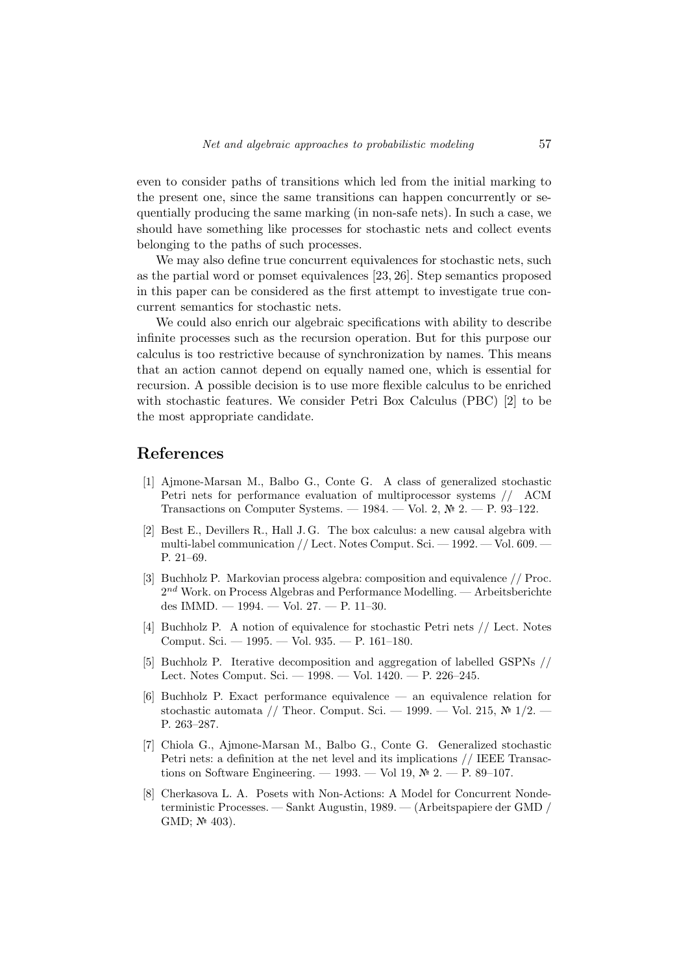even to consider paths of transitions which led from the initial marking to the present one, since the same transitions can happen concurrently or sequentially producing the same marking (in non-safe nets). In such a case, we should have something like processes for stochastic nets and collect events belonging to the paths of such processes.

We may also define true concurrent equivalences for stochastic nets, such as the partial word or pomset equivalences [23, 26]. Step semantics proposed in this paper can be considered as the first attempt to investigate true concurrent semantics for stochastic nets.

We could also enrich our algebraic specifications with ability to describe infinite processes such as the recursion operation. But for this purpose our calculus is too restrictive because of synchronization by names. This means that an action cannot depend on equally named one, which is essential for recursion. A possible decision is to use more flexible calculus to be enriched with stochastic features. We consider Petri Box Calculus (PBC) [2] to be the most appropriate candidate.

### References

- [1] Ajmone-Marsan M., Balbo G., Conte G. A class of generalized stochastic Petri nets for performance evaluation of multiprocessor systems // ACM Transactions on Computer Systems. — 1984. — Vol. 2,  $\mathbb{N}^2$  2. — P. 93-122.
- [2] Best E., Devillers R., Hall J. G. The box calculus: a new causal algebra with multi-label communication // Lect. Notes Comput. Sci. — 1992. — Vol. 609. — P. 21–69.
- [3] Buchholz P. Markovian process algebra: composition and equivalence // Proc.  $2^{nd}$  Work. on Process Algebras and Performance Modelling. — Arbeitsberichte des IMMD. — 1994. — Vol. 27. — P. 11–30.
- [4] Buchholz P. A notion of equivalence for stochastic Petri nets // Lect. Notes Comput. Sci. — 1995. — Vol. 935. — P. 161–180.
- [5] Buchholz P. Iterative decomposition and aggregation of labelled GSPNs // Lect. Notes Comput. Sci. — 1998. — Vol. 1420. — P. 226–245.
- [6] Buchholz P. Exact performance equivalence an equivalence relation for stochastic automata // Theor. Comput. Sci. — 1999. — Vol. 215,  $\mathcal{N}$  1/2. P. 263–287.
- [7] Chiola G., Ajmone-Marsan M., Balbo G., Conte G. Generalized stochastic Petri nets: a definition at the net level and its implications // IEEE Transactions on Software Engineering. — 1993. — Vol 19,  $\mathbb{N}^2$  2. — P. 89–107.
- [8] Cherkasova L. A. Posets with Non-Actions: A Model for Concurrent Nondeterministic Processes. — Sankt Augustin, 1989. — (Arbeitspapiere der GMD / GMD;  $N^2$  403).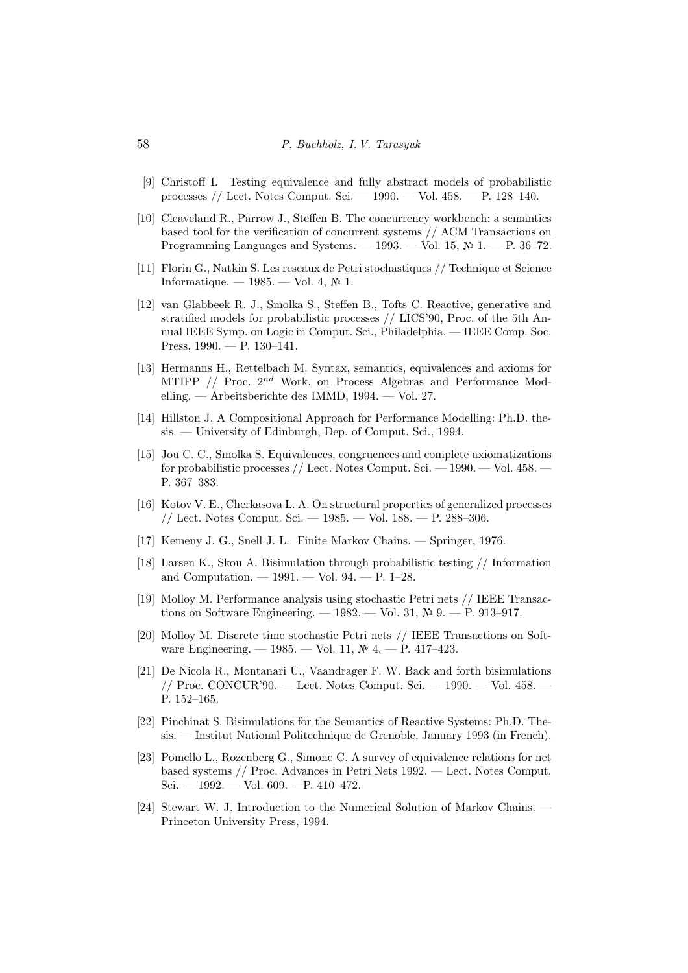- [9] Christoff I. Testing equivalence and fully abstract models of probabilistic processes // Lect. Notes Comput. Sci. — 1990. — Vol. 458. — P. 128–140.
- [10] Cleaveland R., Parrow J., Steffen B. The concurrency workbench: a semantics based tool for the verification of concurrent systems // ACM Transactions on Programming Languages and Systems. — 1993. — Vol. 15,  $\mathcal{N}$  1. — P. 36–72.
- [11] Florin G., Natkin S. Les reseaux de Petri stochastiques // Technique et Science Informatique. — 1985. — Vol. 4,  $\mathbb{N}^2$  1.
- [12] van Glabbeek R. J., Smolka S., Steffen B., Tofts C. Reactive, generative and stratified models for probabilistic processes // LICS'90, Proc. of the 5th Annual IEEE Symp. on Logic in Comput. Sci., Philadelphia. — IEEE Comp. Soc. Press, 1990. — P. 130–141.
- [13] Hermanns H., Rettelbach M. Syntax, semantics, equivalences and axioms for MTIPP  $//$  Proc.  $2^{nd}$  Work. on Process Algebras and Performance Modelling. — Arbeitsberichte des IMMD, 1994. — Vol. 27.
- [14] Hillston J. A Compositional Approach for Performance Modelling: Ph.D. thesis. — University of Edinburgh, Dep. of Comput. Sci., 1994.
- [15] Jou C. C., Smolka S. Equivalences, congruences and complete axiomatizations for probabilistic processes // Lect. Notes Comput. Sci. — 1990. — Vol. 458. — P. 367–383.
- [16] Kotov V. E., Cherkasova L. A. On structural properties of generalized processes // Lect. Notes Comput. Sci. — 1985. — Vol. 188. — P. 288–306.
- [17] Kemeny J. G., Snell J. L. Finite Markov Chains. Springer, 1976.
- [18] Larsen K., Skou A. Bisimulation through probabilistic testing // Information and Computation.  $-1991. -$  Vol. 94.  $-$  P. 1–28.
- [19] Molloy M. Performance analysis using stochastic Petri nets // IEEE Transactions on Software Engineering. — 1982. — Vol. 31,  $\mathbb{N}^2$  9. — P. 913–917.
- [20] Molloy M. Discrete time stochastic Petri nets // IEEE Transactions on Software Engineering. — 1985. — Vol. 11,  $\mathcal{M}$  4. — P. 417-423.
- [21] De Nicola R., Montanari U., Vaandrager F. W. Back and forth bisimulations // Proc. CONCUR'90. — Lect. Notes Comput. Sci. —  $1990.$  — Vol. 458. P. 152–165.
- [22] Pinchinat S. Bisimulations for the Semantics of Reactive Systems: Ph.D. Thesis. — Institut National Politechnique de Grenoble, January 1993 (in French).
- [23] Pomello L., Rozenberg G., Simone C. A survey of equivalence relations for net based systems // Proc. Advances in Petri Nets 1992. — Lect. Notes Comput. Sci. — 1992. — Vol. 609. — P. 410–472.
- [24] Stewart W. J. Introduction to the Numerical Solution of Markov Chains. Princeton University Press, 1994.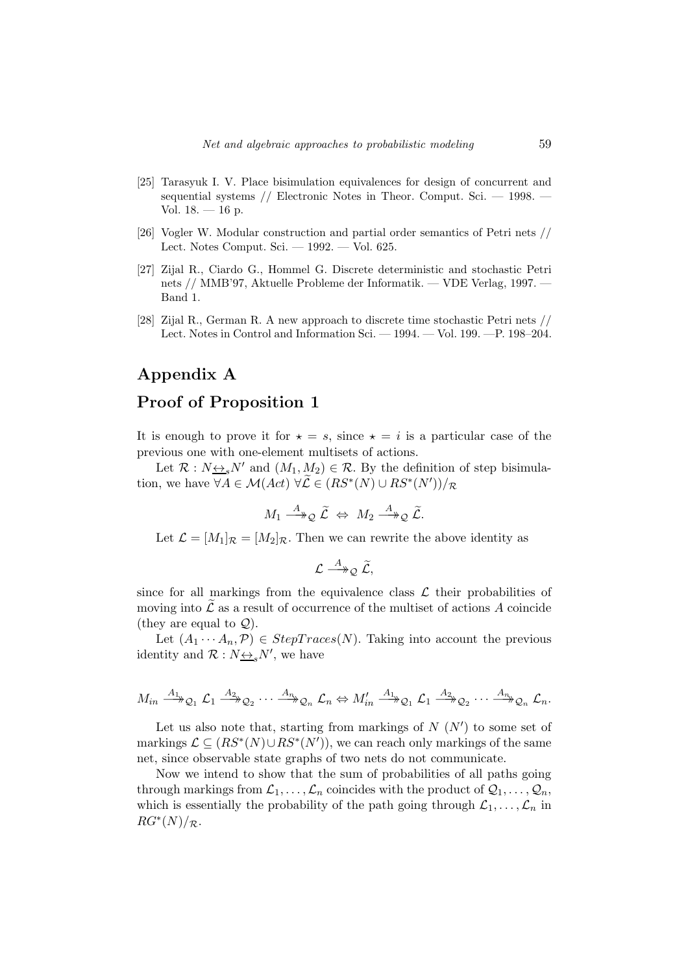- [25] Tarasyuk I. V. Place bisimulation equivalences for design of concurrent and sequential systems // Electronic Notes in Theor. Comput. Sci. — 1998. — Vol.  $18. - 16$  p.
- [26] Vogler W. Modular construction and partial order semantics of Petri nets // Lect. Notes Comput. Sci. — 1992. — Vol. 625.
- [27] Zijal R., Ciardo G., Hommel G. Discrete deterministic and stochastic Petri nets // MMB'97, Aktuelle Probleme der Informatik. — VDE Verlag, 1997. — Band 1.
- [28] Zijal R., German R. A new approach to discrete time stochastic Petri nets // Lect. Notes in Control and Information Sci. — 1994. — Vol. 199. —P. 198–204.

## Appendix A

## Proof of Proposition 1

It is enough to prove it for  $\star = s$ , since  $\star = i$  is a particular case of the previous one with one-element multisets of actions.

Let  $\mathcal{R}: N \rightarrow N'$  and  $(M_1, M_2) \in \mathcal{R}$ . By the definition of step bisimulation, we have  $\forall A \in \mathcal{M}(Act) \ \forall \mathcal{L} \in (RS^*(N) \cup RS^*(N'))/R$ 

$$
M_1 \stackrel{A}{\longrightarrow}_\mathcal{Q} \tilde{\mathcal{L}} \Leftrightarrow M_2 \stackrel{A}{\longrightarrow}_\mathcal{Q} \tilde{\mathcal{L}}.
$$

Let  $\mathcal{L} = [M_1]_{\mathcal{R}} = [M_2]_{\mathcal{R}}$ . Then we can rewrite the above identity as

$$
\mathcal{L} \stackrel{A}{\longrightarrow}_\mathcal{Q} \widetilde{\mathcal{L}},
$$

since for all markings from the equivalence class  $\mathcal L$  their probabilities of moving into  $\tilde{\mathcal{L}}$  as a result of occurrence of the multiset of actions A coincide (they are equal to  $\mathcal{Q}$ ).

Let  $(A_1 \cdots A_n, \mathcal{P}) \in StepTrace(N)$ . Taking into account the previous identity and  $\mathcal{R}: N \rightarrow S N'$ , we have

$$
M_{in} \xrightarrow{A_1} \mathcal{Q}_1 \mathcal{L}_1 \xrightarrow{A_2} \mathcal{Q}_2 \cdots \xrightarrow{A_n} \mathcal{Q}_n \mathcal{L}_n \Leftrightarrow M'_{in} \xrightarrow{A_1} \mathcal{Q}_1 \mathcal{L}_1 \xrightarrow{A_2} \mathcal{Q}_2 \cdots \xrightarrow{A_n} \mathcal{Q}_n \mathcal{L}_n.
$$

Let us also note that, starting from markings of  $N(N')$  to some set of markings  $\mathcal{L} \subseteq (RS^*(N) \cup RS^*(N'))$ , we can reach only markings of the same net, since observable state graphs of two nets do not communicate.

Now we intend to show that the sum of probabilities of all paths going through markings from  $\mathcal{L}_1, \ldots, \mathcal{L}_n$  coincides with the product of  $\mathcal{Q}_1, \ldots, \mathcal{Q}_n$ , which is essentially the probability of the path going through  $\mathcal{L}_1, \ldots, \mathcal{L}_n$  in  $RG^*(N)/_{\mathcal{R}}$ .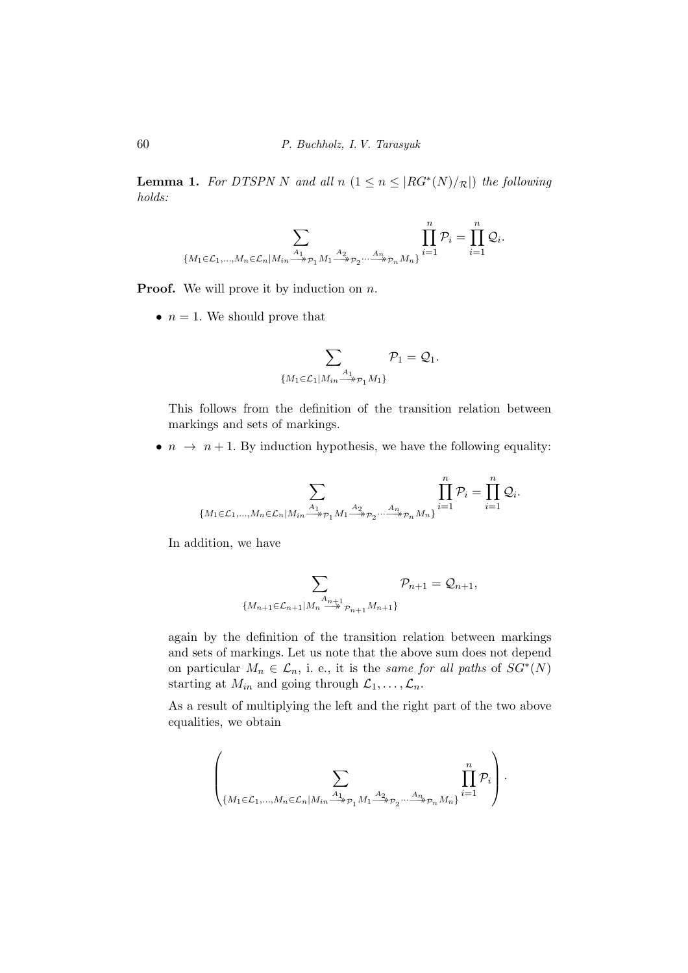**Lemma 1.** For DTSPN N and all  $n$   $(1 \leq n \leq |RG^*(N)/_{\mathcal{R}}|)$  the following holds:

$$
\sum_{\{M_1 \in \mathcal{L}_1, \dots, M_n \in \mathcal{L}_n | M_{in} \stackrel{A_1}{\longrightarrow}_{\mathcal{P}_1} M_1 \stackrel{A_2}{\longrightarrow}_{\mathcal{P}_2} \dots \stackrel{A_n}{\longrightarrow}_{\mathcal{P}_n} M_n\}} \prod_{i=1}^n \mathcal{P}_i = \prod_{i=1}^n \mathcal{Q}_i.
$$

**Proof.** We will prove it by induction on  $n$ .

•  $n = 1$ . We should prove that

$$
\sum_{\{M_1 \in \mathcal{L}_1 | M_{in} \stackrel{A_1}{\longrightarrow} \mathcal{P}_1 M_1\}} \mathcal{P}_1 = \mathcal{Q}_1.
$$

This follows from the definition of the transition relation between markings and sets of markings.

•  $n \to n+1$ . By induction hypothesis, we have the following equality:

$$
\sum_{\{M_1\in \mathcal{L}_1,\ldots,M_n\in \mathcal{L}_n|M_{in}\frac{A_1}{\longrightarrow}\wp_1M_1\frac{A_2}{\longrightarrow}\wp_2\ldots\frac{A_n}{\longrightarrow}\wp_nM_n\}}\prod_{i=1}^n\mathcal{P}_i=\prod_{i=1}^n\mathcal{Q}_i.
$$

In addition, we have

$$
\sum_{\{M_{n+1}\in \mathcal{L}_{n+1}|M_n\stackrel{A_{n+1}}{\longrightarrow} p_{n+1}M_{n+1}\}}\mathcal{P}_{n+1}=\mathcal{Q}_{n+1},
$$

again by the definition of the transition relation between markings and sets of markings. Let us note that the above sum does not depend on particular  $M_n \in \mathcal{L}_n$ , i. e., it is the same for all paths of  $SG^*(N)$ starting at  $M_{in}$  and going through  $\mathcal{L}_1, \ldots, \mathcal{L}_n$ .

As a result of multiplying the left and the right part of the two above equalities, we obtain

$$
\left(\sum_{\{M_1\in\mathcal{L}_1,\dots,M_n\in\mathcal{L}_n|M_{in}\overset{A_1}{\longrightarrow}_{\mathcal{P}_1}M_1\overset{A_2}{\longrightarrow}_{\mathcal{P}_2}\dots\overset{A_n}{\longrightarrow}_{\mathcal{P}_n}M_n\}}\prod_{i=1}^n\mathcal{P}_i\right).
$$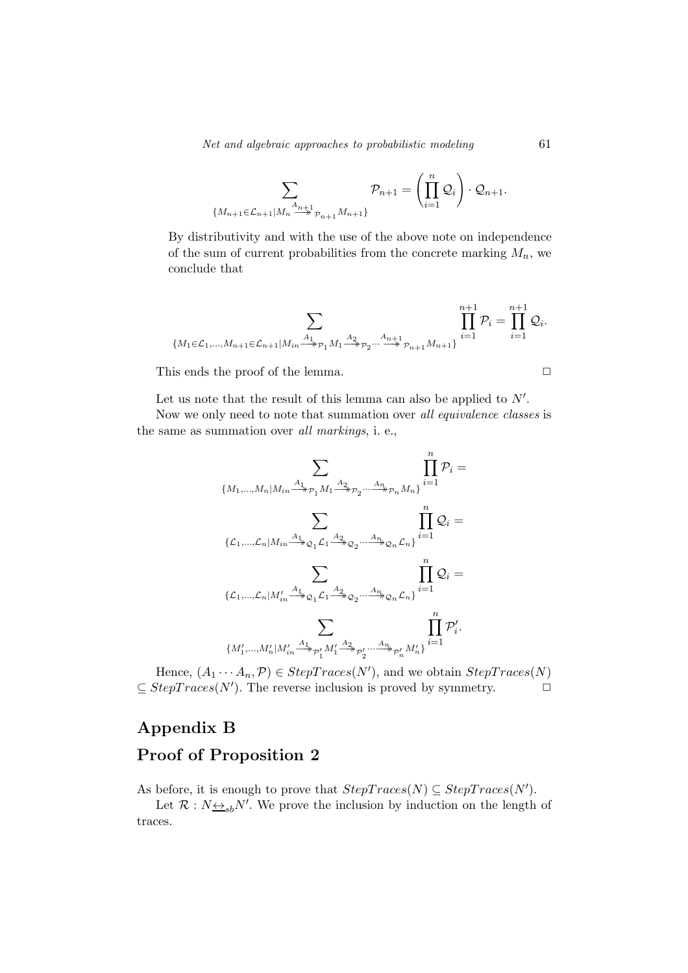Net and algebraic approaches to probabilistic modeling 61

$$
\sum_{\{M_{n+1}\in \mathcal{L}_{n+1}|M_n\stackrel{A_{n+1}}{\longrightarrow} p_{n+1}M_{n+1}\}} \mathcal{P}_{n+1} = \left(\prod_{i=1}^n \mathcal{Q}_i\right) \cdot \mathcal{Q}_{n+1}.
$$

By distributivity and with the use of the above note on independence of the sum of current probabilities from the concrete marking  $M_n$ , we conclude that

$$
\sum_{\{M_1\in \mathcal{L}_1,\ldots,M_{n+1}\in \mathcal{L}_{n+1}|M_{in}\xrightarrow{A_1} p_1 M_1\xrightarrow{A_2} p_2\ldots\xrightarrow{A_{n+1}} p_{n+1}M_{n+1}\}}\prod_{i=1}^{n+1}\mathcal{P}_i=\prod_{i=1}^{n+1}\mathcal{Q}_i.
$$

This ends the proof of the lemma.

$$
\qquad \qquad \Box
$$

Let us note that the result of this lemma can also be applied to  $N'$ .

Now we only need to note that summation over all equivalence classes is the same as summation over all markings, i. e.,

$$
\sum_{\{M_1,\ldots,M_n|M_{in}\overset{A_1}{\longrightarrow}_{\mathcal{P}_1}M_1\overset{A_2}{\longrightarrow}_{\mathcal{P}_2}\ldots\overset{A_n}{\longrightarrow}_{\mathcal{P}_n}M_n\}}\prod_{i=1}^n\mathcal{P}_i=\\ \sum_{\{\mathcal{L}_1,\ldots,\mathcal{L}_n|M_{in}\overset{A_1}{\longrightarrow}_{\mathcal{Q}_1}\mathcal{L}_1\overset{A_2}{\longrightarrow}_{\mathcal{Q}_2}\ldots\overset{A_n}{\longrightarrow}_{\mathcal{Q}_n}\mathcal{L}_n\}}\prod_{i=1}^n\mathcal{Q}_i=\\ \\ \sum_{\{\mathcal{L}_1,\ldots,\mathcal{L}_n|M'_{in}\overset{A_1}{\longrightarrow}_{\mathcal{Q}_1}\mathcal{L}_1\overset{A_2}{\longrightarrow}_{\mathcal{Q}_2}\ldots\overset{A_n}{\longrightarrow}_{\mathcal{Q}_n}\mathcal{L}_n\}}\prod_{i=1}^n\mathcal{Q}_i=\\ \\ \\ \sum_{\{M'_1,\ldots,M'_n|M'_{in}\overset{A_1}{\longrightarrow}_{\mathcal{P}'_1}M'_1\overset{A_2}{\longrightarrow}_{\mathcal{P}'_2}\ldots\overset{A_n}{\longrightarrow}_{\mathcal{P}'_n}M'_n\}}\prod_{i=1}^n\mathcal{P}'_i.
$$

Hence,  $(A_1 \cdots A_n, \mathcal{P}) \in StepTrace(N')$ , and we obtain  $StepTrace(N)$  $\subseteq StepTrace(N')$ . The reverse inclusion is proved by symmetry.  $\Box$ 

# Appendix B Proof of Proposition 2

As before, it is enough to prove that  $StepTrace(N) \subseteq StepTrace(N')$ .

Let  $\mathcal{R}: N_{\frac{\langle A \rangle}{\langle B \rangle}}N'$ . We prove the inclusion by induction on the length of traces.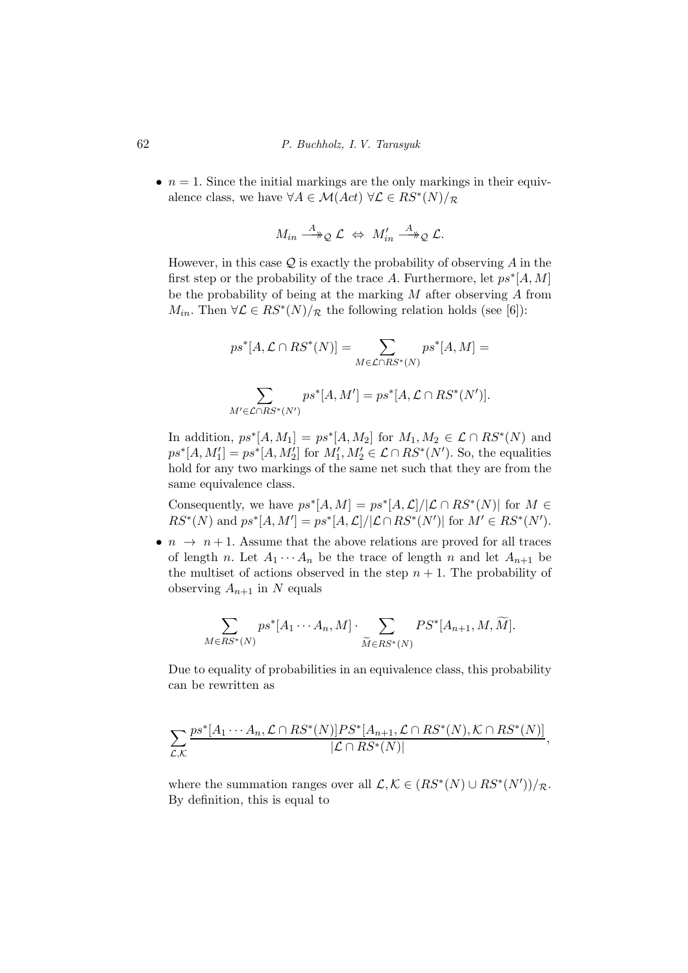•  $n = 1$ . Since the initial markings are the only markings in their equivalence class, we have  $\forall A \in \mathcal{M}(Act) \ \forall \mathcal{L} \in RS^*(N)/_{\mathcal{R}}$ 

$$
M_{in} \stackrel{A}{\longrightarrow}_{\mathcal{Q}} \mathcal{L} \Leftrightarrow M'_{in} \stackrel{A}{\longrightarrow}_{\mathcal{Q}} \mathcal{L}.
$$

However, in this case  $\mathcal{Q}$  is exactly the probability of observing A in the first step or the probability of the trace A. Furthermore, let  $ps^*[A, M]$ be the probability of being at the marking  $M$  after observing  $A$  from  $M_{in}$ . Then  $\forall \mathcal{L} \in RS^*(N)/_{\mathcal{R}}$  the following relation holds (see [6]):

$$
ps^*[A, \mathcal{L} \cap RS^*(N)] = \sum_{M \in \mathcal{L} \cap RS^*(N)} ps^*[A, M] =
$$
  

$$
\sum_{M' \in \mathcal{L} \cap RS^*(N')} ps^*[A, M'] = ps^*[A, \mathcal{L} \cap RS^*(N')].
$$

In addition,  $ps^*[A, M_1] = ps^*[A, M_2]$  for  $M_1, M_2 \in \mathcal{L} \cap RS^*(N)$  and  $ps^*[A, M_1'] = ps^*[A, M_2']$  for  $M_1', M_2' \in \mathcal{L} \cap RS^*(N')$ . So, the equalities hold for any two markings of the same net such that they are from the same equivalence class.

Consequently, we have  $ps^*[A, M] = ps^*[A, \mathcal{L}]/[\mathcal{L} \cap RS^*(N)]$  for  $M \in$  $RS^*(N)$  and  $ps^*[A, M'] = ps^*[A, \mathcal{L}] / [\mathcal{L} \cap RS^*(N')]$  for  $M' \in RS^*(N')$ .

•  $n \to n+1$ . Assume that the above relations are proved for all traces of length n. Let  $A_1 \cdots A_n$  be the trace of length n and let  $A_{n+1}$  be the multiset of actions observed in the step  $n + 1$ . The probability of observing  $A_{n+1}$  in N equals

$$
\sum_{M \in RS^*(N)} ps^*[A_1 \cdots A_n, M] \cdot \sum_{\widetilde{M} \in RS^*(N)} PS^*[A_{n+1}, M, \widetilde{M}].
$$

Due to equality of probabilities in an equivalence class, this probability can be rewritten as

$$
\sum_{\mathcal{L},\mathcal{K}} \frac{ps^*[A_1\cdots A_n,\mathcal{L}\cap RS^*(N)]PS^*[A_{n+1},\mathcal{L}\cap RS^*(N),\mathcal{K}\cap RS^*(N)]}{|\mathcal{L}\cap RS^*(N)|},
$$

where the summation ranges over all  $\mathcal{L}, \mathcal{K} \in (RS^*(N) \cup RS^*(N'))/R$ . By definition, this is equal to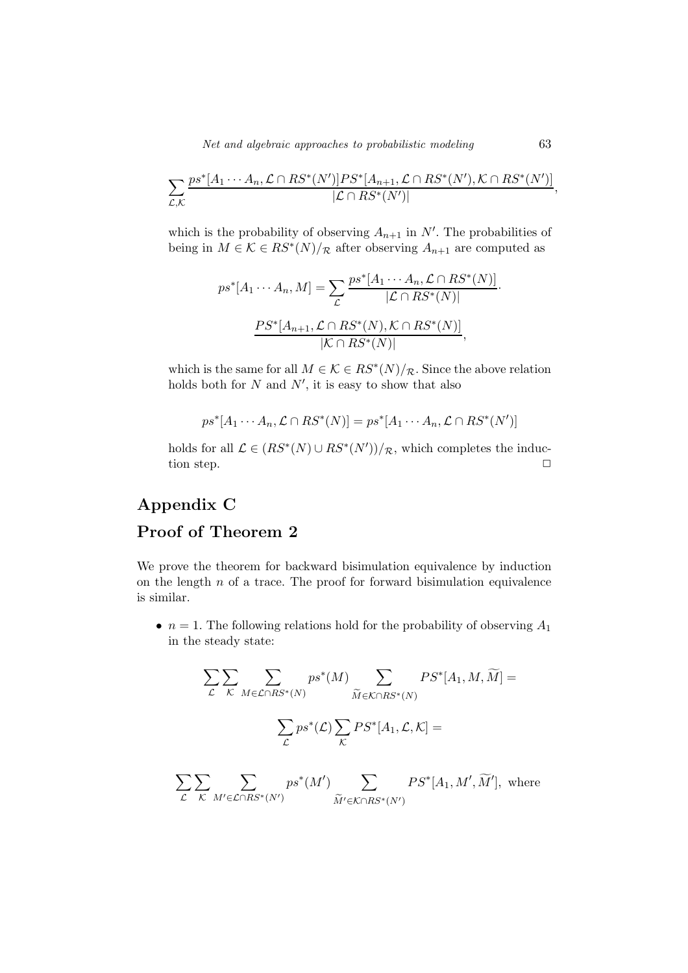Net and algebraic approaches to probabilistic modeling 63

$$
\sum_{\mathcal{L},\mathcal{K}} \frac{ps^*[A_1\cdots A_n,\mathcal{L}\cap RS^*(N')]PS^*[A_{n+1},\mathcal{L}\cap RS^*(N'),\mathcal{K}\cap RS^*(N')]}{|\mathcal{L}\cap RS^*(N')|},
$$

which is the probability of observing  $A_{n+1}$  in N'. The probabilities of being in  $M \in \mathcal{K} \in RS^*(N)/_{\mathcal{R}}$  after observing  $A_{n+1}$  are computed as

$$
ps^*[A_1 \cdots A_n, M] = \sum_{\mathcal{L}} \frac{ps^*[A_1 \cdots A_n, \mathcal{L} \cap RS^*(N)]}{|\mathcal{L} \cap RS^*(N)|}.
$$

$$
\frac{PS^*[A_{n+1}, \mathcal{L} \cap RS^*(N), \mathcal{K} \cap RS^*(N)]}{|\mathcal{K} \cap RS^*(N)|},
$$

which is the same for all  $M \in \mathcal{K} \in RS^*(N)/\mathcal{R}$ . Since the above relation holds both for  $N$  and  $N'$ , it is easy to show that also

$$
ps^*[A_1 \cdots A_n, \mathcal{L} \cap RS^*(N)] = ps^*[A_1 \cdots A_n, \mathcal{L} \cap RS^*(N')]
$$

holds for all  $\mathcal{L} \in (RS^*(N) \cup RS^*(N'))/\mathcal{R}$ , which completes the induction step.  $\Box$ 

## Appendix C

 $\mathcal{L}$ 

 $\mathcal{K}$ 

 $M' \in \mathcal{L} \cap RS^*(N')$ 

## Proof of Theorem 2

We prove the theorem for backward bisimulation equivalence by induction on the length  $n$  of a trace. The proof for forward bisimulation equivalence is similar.

•  $n = 1$ . The following relations hold for the probability of observing  $A_1$ in the steady state:

$$
\sum_{\mathcal{L}} \sum_{\mathcal{K}} \sum_{M \in \mathcal{L} \cap RS^*(N)} ps^*(M) \sum_{\widetilde{M} \in \mathcal{K} \cap RS^*(N)} PS^*[A_1, M, \widetilde{M}] =
$$
  

$$
\sum_{\mathcal{L}} ps^*(\mathcal{L}) \sum_{\mathcal{K}} PS^*[A_1, \mathcal{L}, \mathcal{K}] =
$$
  

$$
\sum \sum_{\mathcal{L}} \sum_{\mathcal{D}S^*(M')} ps^*(M') \sum_{\mathcal{L}} PS^*[A_1, M', \widetilde{M}'], \text{ where}
$$

 $M' \in \mathcal{K} \cap RS^*(N')$